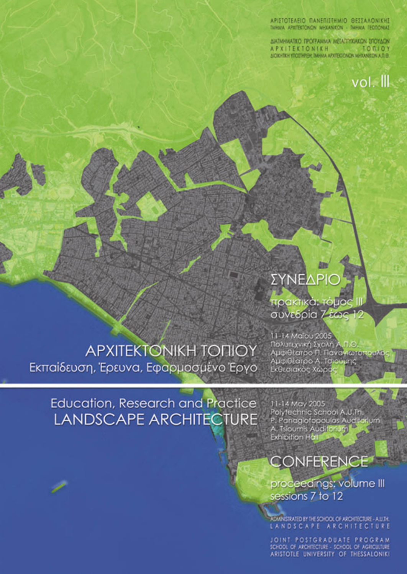APSTOTFARD DANFOSTENID RESTAADNICHT SANA ENTERTWON WEIGHTN - SENA DESTRU

ANDREWSTED TROTANINA MEASUREMENT STOTLEN A F 3 | | E 5 | U N | E 8<br>ACROTECIMENTO NASA AND

#### **APXITEKTONIKH TONIOY** Εκπαίδευση, Έρευνα, Εφαρμοσμένο Έρνο

#### Education, Research and Practice **LANDSCAPE ARCHITECTURE**



#### CONFERENCE

roc<mark>eedings; volume III</mark><br>essi**ons 7** to 12

ARISTOTLE UNIVERSITY OF THESSALONIK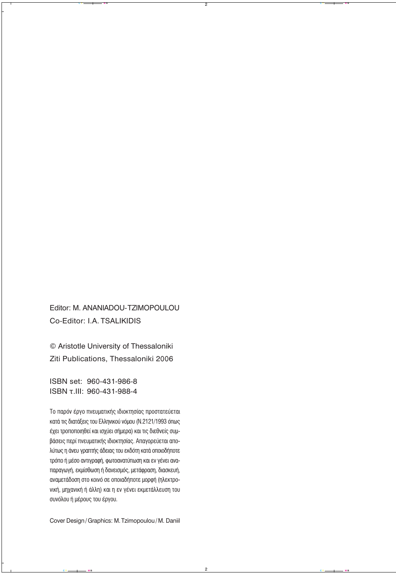Editor: M. ANANIADOU-TZIMOPOULOU Co-Editor: I.A. TSALIKIDIS

© Aristotle University of Thessaloniki Ziti Publications, Thessaloniki 2006

ISBN set: 960-431-986-8 ISBN τ.III: 960-431-988-4

To παρόν έργο πνευματικής ιδιοκτησίας προστατεύεται κατά τις διατάξεις του Ελληνικού νόμου (Ν.2121/1993 όπως έχει τροποποιηθεί και ισχύει σήμερα) και τις διεθνείς συμ-Βάσεις περί πνευματικής ιδιοκτησίας. Απαγορεύεται απολύτως η άνευ γραπτής άδειας του εκδότη κατά οποιοδήποτε τρόπο ή μέσο αντιγραφή, φωτοανατύπωση και εν γένει ανατιαραγωγή, εκμίσθωση ή δανεισμός, μετάφραση, διασκευή, αναμετάδοση στο κοινό σε οποιαδήποτε μορφή (ηλεκτρονική, μηχανική ή άλλη) και η εν γένει εκμετάλλευση του συνόλου ή μέρους του έργου.

Cover Design/Graphics: M.Tzimopoulou/M. Daniil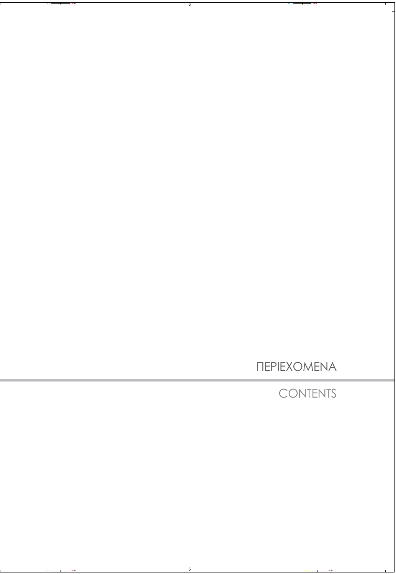ΠΕΡΙΕΧΟΜΕΝΑ

**CONTENTS**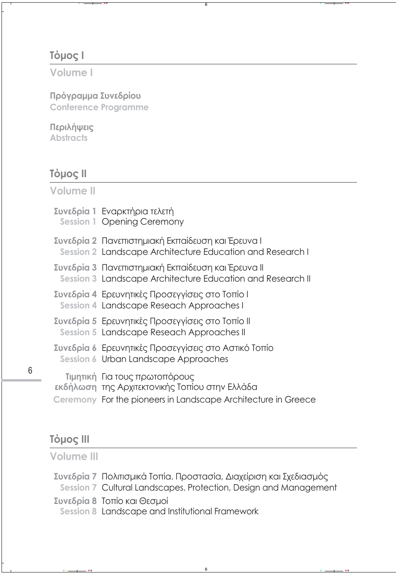# **Tόμος Ι**

## **Volume I**

**Πρόγραμμα Συνεδρίου Conference Programme**

## **Περιλήψεις**

**Abstracts**

# **Tόμος ΙΙ**

**Volume II**

| Συνεδρία 1 Εναρκτήρια τελετή<br><b>Session 1 Opening Ceremony</b>                                                                                |
|--------------------------------------------------------------------------------------------------------------------------------------------------|
| Συνεδρία 2 Πανεπιστημιακή Εκπαίδευση και Έρευνα Ι<br>Session 2 Landscape Architecture Education and Research I                                   |
| Συνεδρία 3 Πανεπιστημιακή Εκπαίδευση και Έρευνα ΙΙ<br>Session 3 Landscape Architecture Education and Research II                                 |
| Συνεδρία 4 Ερευνητικές Προσεγγίσεις στο Τοπίο Ι<br>Session 4 Landscape Reseach Approaches I                                                      |
| Συνεδρία 5 Ερευνητικές Προσεγγίσεις στο Τοπίο ΙΙ<br>Session 5 Landscape Reseach Approaches II                                                    |
| Συνεδρία 6 Ερευνητικές Προσεγγίσεις στο Αστικό Τοπίο<br>Session 6 Urban Landscape Approaches                                                     |
| Τιμητική Για τους πρωτοπόρους<br>εκδήλωση της Αρχιτεκτονικής Τοπίου στην Ελλάδα<br>Ceremony For the pioneers in Landscape Architecture in Greece |

# **Τόμος ΙΙΙ**

**Volume III**

| Συνεδρία 7 Πολιτισμικά Τοπία. Προστασία, Διαχείριση και Σχεδιασμός |  |
|--------------------------------------------------------------------|--|
| Session 7 Cultural Landscapes. Protection, Design and Management   |  |
| Συνεδρία 8 Τοπίο και Θεσμοί                                        |  |

**Session 8** Landscape and Institutional Framework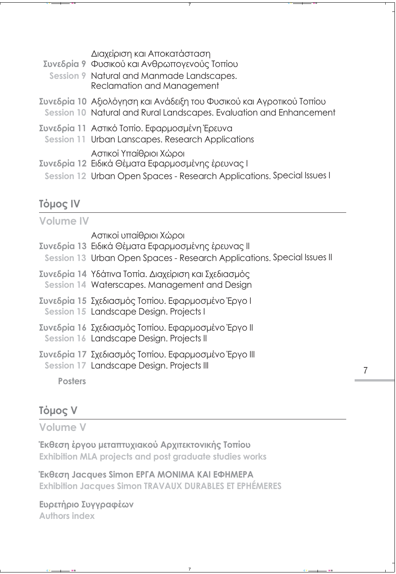Διαχείριση και Αποκατάσταση

- **Συνεδρία 9** Φυσικού και Ανθρωπογενούς Τοπίου
- **Session 9** Νatural and Manmade Landscapes. Reclamation and Management
- **Συνεδρία 10** Αξιολόγηση και Ανάδειξη του Φυσικού και Αγροτικού Τοπίου **Session 10** Natural and Rural Landscapes. Εvaluation and Enhancement
- **Συνεδρία 11** Αστικό Τοπίο. Εφαρμοσμένη Έρευνα
- **Session 11** Urban Lanscapes. Research Applications
	- Aστικοί Yπαίθριοι Χώροι
- **Συνεδρία 12** Ειδικά Θέματα Εφαρμοσμένης έρευνας Ι
- **Session 12** Urban Open Spaces Research Applications. Special Issues I

# **Tόμος ΙV**

| <b>Volume IV</b> |                                                                                                                                                         |
|------------------|---------------------------------------------------------------------------------------------------------------------------------------------------------|
|                  | Αστικοί υπαίθριοι Χώροι<br>Συνεδρία 13 Ειδικά Θέματα Εφαρμοσμένης έρευνας ΙΙ<br>Session 13 Urban Open Spaces - Research Applications. Special Issues II |
|                  | Συνεδρία 14 Υδάτινα Τοπία. Διαχείριση και Σχεδιασμός<br>Session 14 Waterscapes. Management and Design                                                   |
|                  | Συνεδρία 15 Σχεδιασμός Τοπίου. Εφαρμοσμένο Έργο Ι<br>Session 15 Landscape Design. Projects I                                                            |
|                  | Συνεδρία 16 Σχεδιασμός Τοπίου. Εφαρμοσμένο Έργο II<br>Session 16 Landscape Design. Projects II                                                          |
|                  | Συνεδρία 17 Σχεδιασμός Τοπίου. Εφαρμοσμένο Έργο III<br>Session 17 Landscape Design. Projects III                                                        |
| <b>Posters</b>   |                                                                                                                                                         |

# **Τόμος V**

**Volume V**

**Έκθεση έργου μεταπτυχιακού Αρχιτεκτονικής Τοπίου Εxhibition MLA projects and post graduate studies works**

**Έκθεση Jacques Simon ΕΡΓΑ ΜΟΝΙΜΑ ΚΑΙ ΕΦΗΜΕΡΑ Εxhibition Jacques Simon TRAVAUX DURABLES ET EPHÉMERES**

**Ευρετήριο Συγγραφέων Authors index**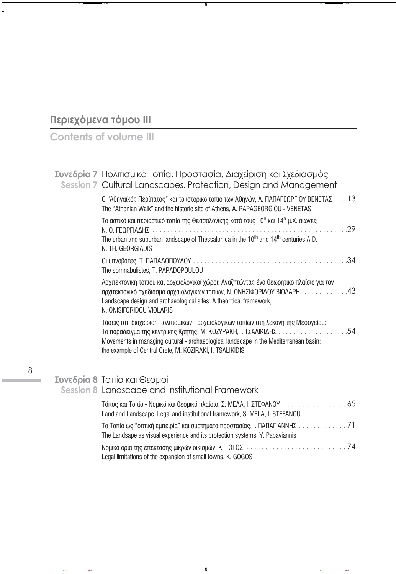# Περιεχόμενα τόμου ΙΙΙ

# Contents of volume III

| Συνεδρία 7 Πολιτισμικά Τοπία. Προστασία, Διαχείριση και Σχεδιασμός<br>Session 7 Cultural Landscapes. Protection, Design and Management                                                                                                                                 |
|------------------------------------------------------------------------------------------------------------------------------------------------------------------------------------------------------------------------------------------------------------------------|
| Ο "Αθηναϊκός Περίπατος" και το ιστορικό τοπίο των Αθηνών, Α. ΠΑΠΑΓΕΩΡΓΙΟΥ ΒΕΝΕΤΑΣ 13<br>The "Athenian Walk" and the historic site of Athens, A. PAPAGEORGIOU - VENETAS                                                                                                 |
| Το αστικό και περιαστικό τοπίο της Θεσσαλονίκης κατά τους 10° και 14° μ.Χ. αιώνες<br>The urban and suburban landscape of Thessalonica in the 10 <sup>th</sup> and 14 <sup>th</sup> centuries A.D.<br>N. TH. GEORGIADIS                                                 |
| The somnabulistes, T. PAPADOPOULOU                                                                                                                                                                                                                                     |
| Αρχιτεκτονική τοπίου και αρχαιολογικοί χώροι: Αναζητώντας ένα θεωρητικό πλαίσιο για τον<br>αρχιτεκτονικό σχεδιασμό αρχαιολογικών τοπίων, Ν. ΟΝΗΣΙΦΟΡΙΔΟΥ ΒΙΟΛΑΡΗ 43<br>Landscape design and archaeological sites: A theoritical framework,<br>N. ONISIFORIDOU VIOLARIS |
| Τάσεις στη διαχείριση πολιτισμικών - αρχαιολογικών τοπίων στη λεκάνη της Μεσογείου:<br>Movements in managing cultural - archaeological landscape in the Mediterranean basin:<br>the example of Central Crete, M. KOZIRAKI, I. TSALIKIDIS                               |
|                                                                                                                                                                                                                                                                        |

# **Συνεδρία 8** Τοπίο και Θεσμοί<br>Session 8 Landscape and Institutional Framework

| Land and Landscape. Legal and institutional framework, S. MELA, I. STEFANOU  |
|------------------------------------------------------------------------------|
| The Landsape as visual experience and its protection systems, Y. Papayiannis |
| Legal limitations of the expansion of small towns, K. GOGOS                  |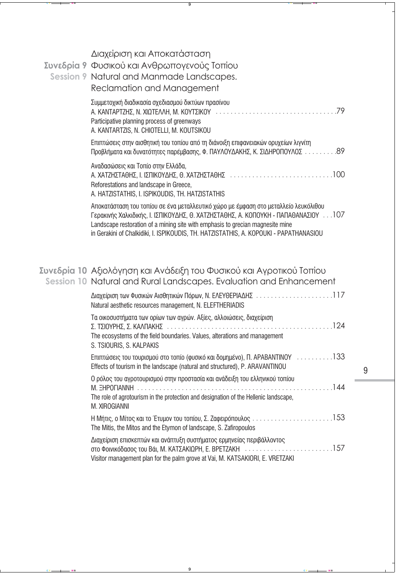## Διαχείριση και Αποκατάσταση **Συνεδρία 9** Φυσικού και Ανθρωπογενούς Τοπίου **Session 9** Νatural and Manmade Landscapes. Reclamation and Management Συμμετοχική διαδικασία σχεδιασμού δικτύων πρασίνου ∞. ∫∞¡Δ∞ƒΔ∑∏™, ¡. ÃπøΔ∂§§∏, ª. ∫√ÀΔ™π∫√À . . . . . . . . . . . . . . . . . . . . . . . . . . . . . . . . .79 Participative planning process of greenways A. KANTARTZIS, N. CHIOTELLI, M. KOUTSIKOU Επιπτώσεις στην αισθητική του τοπίου από τη διάνοιξη επιφανειακών ορυχείων λιγνίτη Προβλήματα και δυνατότητες παρέμβασης, Φ. ΠΑΥΛΟΥΔΑΚΗΣ, Κ. ΣΙΔΗΡΟΠΟΥΛΟΣ . . . . . . . . . . 89 Αναδασώσεις και Τοπίο στην Ελλάδα, ∞. Ã∞Δ∑∏™Δ∞£∏™, π. π™¶π∫√À¢∏™, £. Ã∞Δ∑∏™Δ∞£∏™ . . . . . . . . . . . . . . . . . . . . . . . . . . . .100 Reforestations and landscape in Greece, **A. HATZISTATHIS, I. ISPIKOUDIS, TH. HATZISTATHIS** Αποκατάσταση του τοπίου σε ένα μεταλλευτικό χώρο με έμφαση στο μεταλλείο λευκόλιθου Γερακινής Χαλκιδικής, Ι. ΙΣΠΙΚΟΥΔΗΣ, Θ. ΧΑΤΖΗΣΤΑΘΗΣ, Α. ΚΟΠΟΥΚΗ - ΠΑΠΑΘΑΝΑΣΙΟΥ, . . .107 Landscape restoration of a mining site with emphasis to grecian magnesite mine in Gerakini of Chalkidiki, I. ISPIKOUDIS, TH. HATZISTATHIS, A. KOPOUKI - PAPATHANASIOU

## **Συνεδρία 10** Αξιολόγηση και Ανάδειξη του Φυσικού και Αγροτικού Τοπίου **Session 10** Natural and Rural Landscapes. Εvaluation and Enhancement

| Natural aesthetic resources management, N. ELEFTHERIADIS                                                                                                                            |
|-------------------------------------------------------------------------------------------------------------------------------------------------------------------------------------|
| Τα οικοσυστήματα των ορίων των αγρών. Αξίες, αλλοιώσεις, διαχείριση<br>The ecosystems of the field boundaries. Values, alterations and management<br>S. TSIOURIS, S. KALPAKIS       |
| Επιπτώσεις του τουρισμού στο τοπίο (φυσικό και δομημένο), Π. ΑΡΑΒΑΝΤΙΝΟΥ 133<br>Effects of tourism in the landscape (natural and structured), P. ARAVANTINOU                        |
| Ο ρόλος του αγροτουρισμού στην προστασία και ανάδειξη του ελληνικού τοπίου<br>The role of agrotourism in the protection and designation of the Hellenic landscape,<br>M. XIROGIANNI |
| The Mitis, the Mitos and the Etymon of landscape, S. Zafiropoulos                                                                                                                   |
| Διαχείριση επισκεπτών και ανάπτυξη συστήματος ερμηνείας περιβάλλοντος<br>Visitor management plan for the palm grove at Vai, M. KATSAKIORI, E. VRETZAKI                              |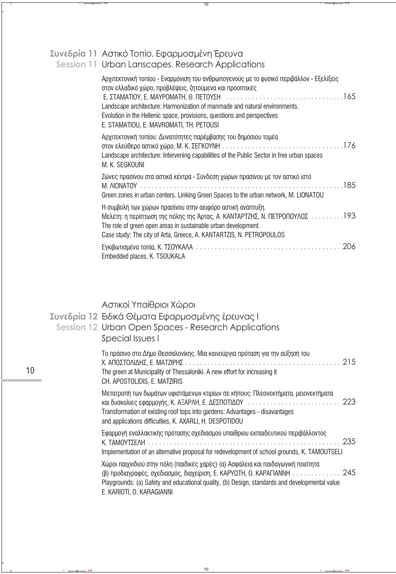# Συνεδρία 11 Αστικό Τοπίο. Εφαρμοσμένη Έρευνα<br>Session 11 Urban Lanscapes. Research Applications

| Αρχιτεκτονική τοπίου - Εναρμόνιση του ανθρωπογενούς με το φυσικό περιβάλλον - Εξελίξεις<br>στον ελλαδικό χώρο, προβλέψεις, ζητούμενα και προοπτικές                                                                                                                              |
|----------------------------------------------------------------------------------------------------------------------------------------------------------------------------------------------------------------------------------------------------------------------------------|
| Landscape architecture: Harmonization of manmade and natural environments.<br>Evolution in the Hellenic space, provisions, questions and perspectives<br>E. STAMATIOU, E. MAVROMATI, TH. PETOUSI                                                                                 |
| Αρχιτεκτονική τοπίου: Δυνατότητες παρέμβασης του δημόσιου τομέα<br>Landscape architecture: Intervening capabilities of the Public Sector in free urban spaces<br>M. K. SEGKOUNI                                                                                                  |
| Ζώνες πρασίνου στα αστικά κέντρα - Σύνδεση χώρων πρασίνου με τον αστικό ιστό<br>Green zones in urban centers. Linking Green Spaces to the urban network, M. LIONATOU                                                                                                             |
| Η συμβολή των χώρων πρασίνου στην αειφόρο αστική ανάπτυξη.<br>Μελέτη: η περίπτωση της πόλης της Άρτας, Α. ΚΑΝΤΑΡΤΖΗΣ, Ν. ΠΕΤΡΟΠΟΥΛΟΣ193<br>The role of green open areas in sustainable urban development.<br>Case study: The city of Arta, Greece, A. KANTARTZIS, N. PETROPOULOS |
| Embedded places, K. TSOUKALA                                                                                                                                                                                                                                                     |

# Αστικοί Υπαίθριοι Χώροι

 $10$ 

|  | Συνεδρία 12 Ειδικά Θέματα Εφαρμοσμένης έρευνας Ι<br>Session 12 Urban Open Spaces - Research Applications<br>Special Issues I                                                                                                                                                                |  |
|--|---------------------------------------------------------------------------------------------------------------------------------------------------------------------------------------------------------------------------------------------------------------------------------------------|--|
|  | Το πράσινο στο Δήμο Θεσσαλονίκης. Μια καινούργια πρόταση για την αύξησή του<br>The green at Municipality of Thessaloniki. A new effort for increasing it<br>CH. APOSTOLIDIS, E. MATZIRIS                                                                                                    |  |
|  | Μετατροπή των δωμάτων υφιστάμενων κτιρίων σε κήπους: Πλεονεκτήματα, μειονεκτήματα<br>και δυσκολίες εφαρμογής, Κ. ΑΞΑΡΛΗ, Ε. ΔΕΣΠΟΤΙΔΟΥ 223<br>Transformation of existing roof tops into gardens: Advantages - disavantages<br>and applications difficulties, K. AXARLI, H. DESPOTIDOU       |  |
|  | Εφαρμογή εναλλακτικής πρότασης σχεδιασμού υπαίθριου εκπαιδευτικού περιβάλλοντος<br>Implementation of an alternative proposal for redevelopment of school grounds, K. TAMOUTSELI                                                                                                             |  |
|  | Χώροι παιχνιδιού στην πόλη (παιδικές χαρές) (α) Ασφάλεια και παιδαγωγική ποιότητα<br>(β) προδιαγραφές, σχεδιασμός, διαχείριση, Ε. ΚΑΡΥΩΤΗ, Ο. ΚΑΡΑΓΙΑΝΝΗ 245<br>Playgrounds: (a) Safety and educational quality, (b) Design, standards and developmental value<br>E. KARIOTI, O. KARAGIANNI |  |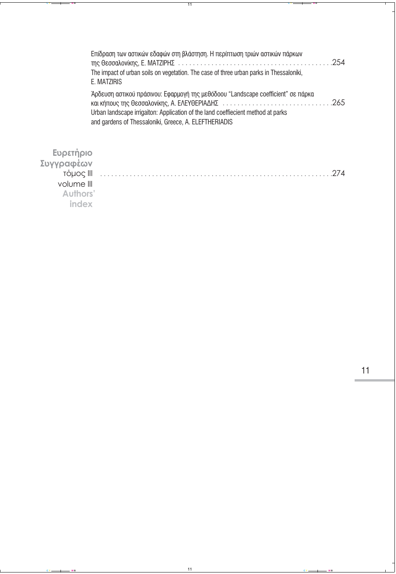| Επίδραση των αστικών εδαφών στη βλάστηση. Η περίπτωση τριών αστικών πάρκων<br>The impact of urban soils on vegetation. The case of three urban parks in Thessaloniki,<br>E. MATZIRIS                                          |  |
|-------------------------------------------------------------------------------------------------------------------------------------------------------------------------------------------------------------------------------|--|
| Άρδευση αστικού πράσινου: Εφαρμογή της μεθόδοου "Landscape coefficient" σε πάρκα<br>Urban landscape irrigaiton: Application of the land coeffiecient method at parks<br>and gardens of Thessaloniki, Greece, A. ELEFTHERIADIS |  |

| Ευρετήριο<br>Συγγραφέων<br>τόμος III<br>volume III<br>Authors'<br>index | 274 |
|-------------------------------------------------------------------------|-----|
|                                                                         |     |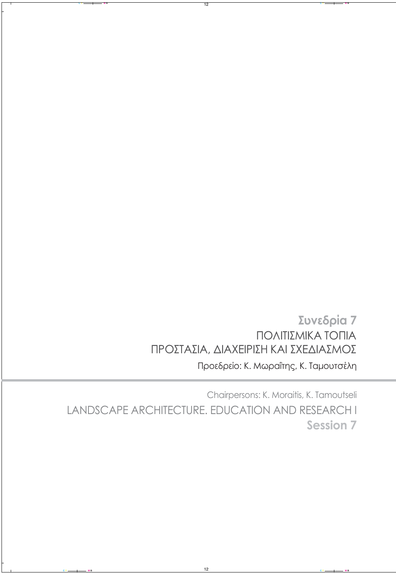## **Συνεδρία 7** Προεδρείο: K. Mωραΐτης, Κ. Ταμουτσέλη ΠΟΛΙΤΙΣΜΙΚΑ ΤΟΠΙΑ ΠΡΟΣΤΑΣΙΑ, ΔΙΑΧΕΙΡΙΣΗ ΚΑΙ ΣΧΕΔΙΑΣΜΟΣ  $\mathbf{r}$

Chairpersons: Κ. Μoraitis, K. Tamoutseli LANDSCAPE ARCHITECTURE. EDUCATION AND RESEARCH I **Session 7**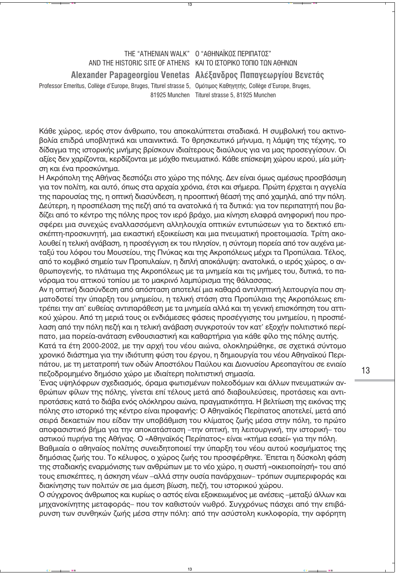### THE "ATHENIAN WAI K" 0 "ΑΘΗΝΑΪΚΟΣ ΠΕΡΙΠΑΤΟΣ" AND THE HISTORIC SITE OF ATHENS KAI TO ΙΣΤΟΡΙΚΟ ΤΟΠΙΟ ΤΩΝ ΑΘΗΝΩΝ Alexander Papageorgiou Venetas Αλέξανδρος Παπαγεωργίου Βενετάς Professor Emeritus, Collège d'Europe, Bruges, Titurel strasse 5, Oμότιμος Καθηγητής, Collège d'Europe, Bruges, 81925 Munchen Titurel strasse 5, 81925 Munchen

Κάθε χώρος, ιερός στον άνθρωπο, του αποκαλύπτεται σταδιακά. Η συμβολική του ακτινοβολία επιδρά υποβλητικά και υπαινικτικά. Το θρησκευτικό μήνυμα, η λάμψη της τέχνης, το δίδαγμα της ιστορικής μνήμης βρίσκουν ιδιαίτερους διαύλους για να μας προσεγγίσουν. Οι αξίες δεν χαρίζονται, κερδίζονται με μόχθο πνευματικό. Κάθε επίσκεψη χώρου ιερού, μία μύηση και ένα προσκύνημα.

Η Ακρόπολη της Αθήνας δεσπόζει στο χώρο της πόλης. Δεν είναι όμως αμέσως προσβάσιμη για τον πολίτη, και αυτό, όπως στα αρχαία χρόνια, έτσι και σήμερα. Πρώτη έρχεται η αγγελία της παρουσίας της, η οπτική διασύνδεση, η προοπτική θέασή της από χαμηλά, από την πόλη. Δεύτερη, η προσπέλαση της πεζή από τα ανατολικά ή τα δυτικά: για τον περιπατητή που βαδίζει από το κέντρο της πόλης προς τον ιερό βράχο, μια κίνηση ελαφρά ανηφορική που προσφέρει μια συνεχώς εναλλασσόμενη αλληλουχία οπτικών εντυπώσεων για το δεκτικό επισκέπτη-προσκυνητή, μια εικαστική εξοικείωση και μια πνευματική προετοιμασία. Τρίτη ακολουθεί η τελική ανάβαση, η προσέγγιση εκ του πλησίον, η σύντομη πορεία από τον αυχένα μεταξύ του λόφου του Μουσείου, της Πνύκας και της Ακροπόλεως μέχρι τα Προπύλαια. Τέλος, από το κομβικό σημείο των Προπυλαίων, η διπλή αποκάλυψη: ανατολικά, ο ιερός χώρος, ο ανθρωπογενής, το πλάτωμα της Ακροπόλεως με τα μνημεία και τις μνήμες του, δυτικά, το πανόραμα του αττικού τοπίου με το μακρινό λαμπύρισμα της θάλασσας.

Αν η οπτική διασύνδεση από απόσταση αποτελεί μια καθαρά αντιληπτική λειτουργία που σηματοδοτεί την ύπαρξη του μνημείου, η τελική στάση στα Προπύλαια της Ακροπόλεως επιτρέπει την απ' ευθείας αντιπαράθεση με τα μνημεία αλλά και τη γενική επισκόπηση του αττικού χώρου. Από τη μεριά τους οι ενδιάμεσες φάσεις προσέγγισης του μνημείου, η προσπέλαση από την πόλη πεζή και η τελική ανάβαση συγκροτούν τον κατ' εξοχήν πολιτιστικό περίπατο, μια πορεία-ανάταση ενθουσιαστική και καθαρτήρια για κάθε φίλο της πόλης αυτής.

Κατά τα έτη 2000-2002, με την αρχή του νέου αιώνα, ολοκληρώθηκε, σε σχετικά σύντομο χρονικό διάστημα για την ιδιότυπη φύση του έργου, η δημιουργία του νέου Αθηναϊκού Περιπάτου, με τη μετατροπή των οδών Αποστόλου Παύλου και Διονυσίου Αρεοπαγίτου σε ενιαίο πεζοδρομημένο δημόσιο χώρο με ιδιαίτερη πολιτιστική σημασία.

Ένας υψηλόφρων σχεδιασμός, όραμα φωτισμένων πολεοδόμων και άλλων πνευματικών ανθρώπων φίλων της πόλης, γίνεται επί τέλους μετά από διαβουλεύσεις, προτάσεις και αντιπροτάσεις κατά το διάβα ενός ολόκληρου αιώνα, πραγματικότητα. Η βελτίωση της εικόνας της πόλης στο ιστορικό της κέντρο είναι προφανής: Ο Αθηναϊκός Περίπατος αποτελεί, μετά από σειρά δεκαετιών που είδαν την υποβάθμιση του κλίματος ζωής μέσα στην πόλη, το πρώτο αποφασιστικό βήμα για την αποκατάσταση -την οπτική, τη λειτουργική, την ιστορική- του αστικού πυρήνα της Αθήνας. Ο «Αθηναϊκός Περίπατος» είναι «κτήμα εσαεί» για την πόλη.

Βαθμιαία ο αθηναίος πολίτης συνειδητοποιεί την ύπαρξη του νέου αυτού κοσμήματος της δημόσιας ζωής του. Το κέλυφος, ο χώρος ζωής του προσφέρθηκε. Έπεται η δύσκολη φάση της σταδιακής εναρμόνισης των ανθρώπων με το νέο χώρο, η σωστή «οικειοποίησή» του από τους επισκέπτες, η άσκηση νέων -αλλά στην ουσία πανάρχαιων- τρόπων συμπεριφοράς και διακίνησης των πολιτών σε μια άμεση βίωση, πεζή, του ιστορικού χώρου.

Ο σύγχρονος άνθρωπος και κυρίως ο αστός είναι εξοικειωμένος με ανέσεις -μεταξύ άλλων και μηχανοκίνητης μεταφοράς- που τον καθιστούν νωθρό. Συγχρόνως πάσχει από την επιβάρυνση των συνθηκών ζωής μέσα στην πόλη: από την ασύστολη κυκλοφορία, την αφόρητη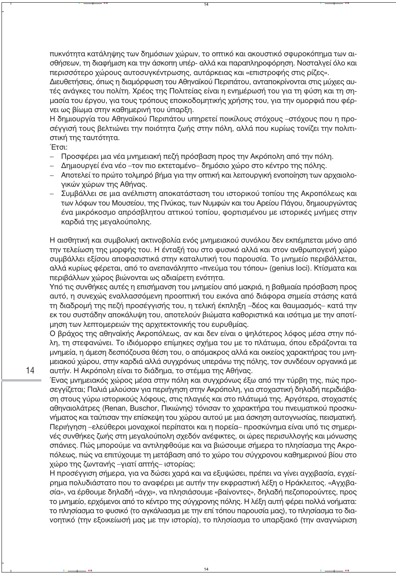τιυκνότητα κατάληψης των δημόσιων χώρων, το οπτικό και ακουστικό σφυροκόπημα των αισθήσεων, τη διαφήμιση και την άσκοπη υπέρ- αλλά και παραπληροφόρηση. Νοσταλγεί όλο και περισσότερο χώρους αυτοσυγκέντρωσης, αυτάρκειας και «επιστροφής στις ρίζες».

Διευθετήσεις, όπως η διαμόρφωση του Αθηναϊκού Περιπάτου, ανταποκρίνονται στις μύχιες αυτές ανάγκες του πολίτη. Χρέος της Πολιτείας είναι η ενημέρωσή του για τη φύση και τη σημασία του έργου, για τους τρόπους εποικοδομητικής χρήσης του, για την ομορφιά που φέρνει ως βίωμα στην καθημερινή του ύπαρξη.

Η δημιουργία του Αθηναϊκού Περιπάτου υπηρετεί ποικίλους στόχους –στόχους που η προσέγγισή τους βελτιώνει την ποιότητα ζωής στην πόλη, αλλά που κυρίως τονίζει την πολιτιστική της ταυτότητα.

Έτσι:

- − Προσφέρει μια νέα μνημειακή πεζή πρόσβαση προς την Ακρόπολη από την πόλη.
- Δημιουργεί ένα νέο –τον πιο εκτεταμένο– δημόσιο χώρο στο κέντρο της πόλης.
- − Αποτελεί το πρώτο τολμηρό βήμα για την οπτική και λειτουργική ενοποίηση των αρχαιολογικών χώρων της Αθήνας.
- Συμβάλλει σε μια ανέλπιστη αποκατάσταση του ιστορικού τοπίου της Ακροπόλεως και των λόφων του Μουσείου, της Πνύκας, των Νυμφών και του Αρείου Πάγου, δημιουργώντας ένα μικρόκοσμο απρόσβλητου αττικού τοπίου, φορτισμένου με ιστορικές μνήμες στην καρδιά της μεγαλούπολης.

Η αισθητική και συμβολική ακτινοβολία ενός μνημειακού συνόλου δεν εκπέμπεται μόνο από την τελείωση της μορφής του. Η ένταξή του στο φυσικό αλλά και στον ανθρωπογενή χώρο συμβάλλει εξίσου αποφασιστικά στην καταλυτική του παρουσία. Το μνημείο περιβάλλεται, αλλά κυρίως φέρεται, από το ανεπανάληπτο «πνεύμα του τόπου» (genius loci). Κτίσματα και περιβάλλων χώρος βιώνονται ως αδιαίρετη ενότητα.

Υπό τις συνθήκες αυτές η επισήμανση του μνημείου από μακριά, η βαθμιαία πρόσβαση προς αυτό, η συνεχώς εναλλασσόμενη προοπτική του εικόνα από διάφορα σημεία στάσης κατά τη διαδρομή της πεζή προσέγγισής του, η τελική έκπληξη –δέος και θαυμασμός– κατά την εκ του συστάδην αποκάλυψη του, αποτελούν βιώματα καθοριστικά και ισότιμα με την αποτίμηση των λεπτομερειών της αρχιτεκτονικής του ευρυθμίας.

Ο βράχος της αθηναϊκής Ακροπόλεως, αν και δεν είναι ο ψηλότερος λόφος μέσα στην πόλη, τη στεφανώνει. Το ιδιόμορφο επίμηκες σχήμα του με το πλάτωμα, όπου εδράζονται τα μνημεία, η άμεση δεσπόζουσα θέση του, ο απόμακρος αλλά και οικείος χαρακτήρας του μνημειακού χώρου, στην καρδιά αλλά συγχρόνως υπεράνω της πόλης, τον συνδέουν οργανικά με αυτήν. Η Ακρόπολη είναι το διάδημα, το στέμμα της Αθήνας.

Ένας μνημειακός χώρος μέσα στην πόλη και συνχρόνως έξω από την τύρβη της, πώς προσεγγίζεται; Παλιά μιλούσαν για περιήγηση στην Ακρόπολη, για στοχαστική δηλαδή περιδιάβαση στους γύρω ιστορικούς λόφους, στις πλαγιές και στο πλάτωμά της. Αργότερα, στοχαστές αθηναιολάτρες (Renan, Buschor, Πικιώνης) τόνισαν το χαρακτήρα του πνευματικού προσκυνήματος και ταύτισαν την επίσκεψη του χώρου αυτού με μια άσκηση αυτογνωσίας, πεισματική. Περιήγηση –ελεύθεροι μοναχικοί περίπατοι και η πορεία– προσκύνημα είναι υπό τις σημερινές συνθήκες ζωής στη μεγαλούπολη σχεδόν ανέφικτες, οι ώρες περισυλλογής και μόνωσης σπάνιες. Πώς μπορούμε να αντιληφθούμε και να βιώσουμε σήμερα το πλησίασμα της Ακροπόλεως, πώς να επιτύχουμε τη μετάβαση από το χώρο του σύγχρονου καθημερινού βίου στο χώρο της ζωντανής –γιατί απτής– ιστορίας;

Η προσέγγιση σήμερα, για να δώσει χαρά και να εξυψώσει, πρέπει να γίνει αγχιβασία, εγχείρημα πολυδιάστατο που το αναφέρει με αυτήν την εκφραστική λέξη ο Ηράκλειτος. «Αγχιβασία», να έρθουμε δηλαδή «άγχι», να πλησιάσουμε «βαίνοντες», δηλαδή πεζοπορούντες, προς το μνημείο, ερχόμενοι από το κέντρο της σύγχρονης πόλης. Η λέξη αυτή φέρει πολλά νοήματα: το πλησίασμα το φυσικό (το αγκάλιασμα με την επί τόπου παρουσία μας), το πλησίασμα το διανοητικό (την εξοικείωσή μας με την ιστορία), το πλησίασμα το υπαρξιακό (την αναγνώριση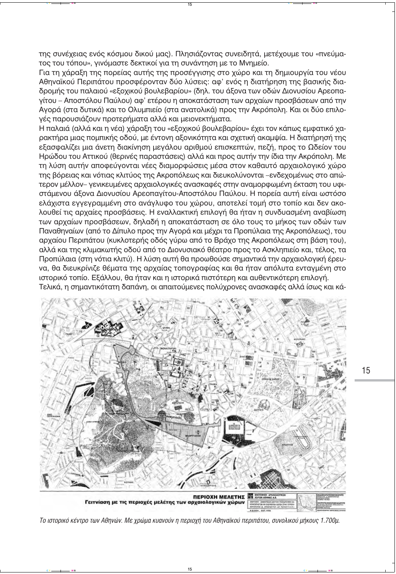της συνέχειας ενός κόσμου δικού μας). Πλησιάζοντας συνειδητά, μετέχουμε του «πνεύματος του τόπου», γινόμαστε δεκτικοί για τη συνάντηση με το Μνημείο.

Για τη χάραξη της πορείας αυτής της προσέγγισης στο χώρο και τη δημιουργία του νέου Αθηναϊκού Περιπάτου προσφέρονταν δύο λύσεις: αφ' ενός η διατήρηση της βασικής διαδρομής του παλαιού «εξοχικού βουλεβαρίου» (δηλ. του άξονα των οδών Διονυσίου Αρεοπαγίτου – Αποστόλου Παύλου) αφ' ετέρου η αποκατάσταση των αρχαίων προσβάσεων από την Ανορά (στα δυτικά) και το Ολυμπιείο (στα ανατολικά) προς την Ακρόπολη. Και οι δύο επιλονές παρουσιάζουν προτερήματα αλλά και μειονεκτήματα.

Η παλαιά (αλλά και η νέα) χάραξη του «εξοχικού βουλεβαρίου» έχει τον κάπως εμφατικό χαρακτήρα μιας πομπικής οδού, με έντονη αξονικότητα και σχετική ακαμψία. Η διατήρησή της εξασφαλίζει μια άνετη διακίνηση μεγάλου αριθμού επισκεπτών, πεζή, προς το Ωδείον του Ηρώδου του Αττικού (θερινές παραστάσεις) αλλά και προς αυτήν την ίδια την Ακρόπολη. Με τη λύση αυτήν αποφεύγονται νέες διαμορφώσεις μέσα στον καθαυτό αρχαιολογικό χώρο της βόρειας και νότιας κλιτύος της Ακροπόλεως και διευκολύνονται -ενδεχομένως στο απώτερον μέλλον- γενικευμένες αρχαιολογικές ανασκαφές στην αναμορφωμένη έκταση του υφιστάμενου άξονα Διονυσίου Αρεοπαγίτου-Αποστόλου Παύλου. Η πορεία αυτή είναι ωστόσο ελάχιστα εγγεγραμμένη στο ανάγλυφο του χώρου, αποτελεί τομή στο τοπίο και δεν ακολουθεί τις αρχαίες προσβάσεις. Η εναλλακτική επιλογή θα ήταν η συνδυασμένη αναβίωση των αρχαίων προσβάσεων, δηλαδή η αποκατάσταση σε όλο τους το μήκος των οδών των Παναθηναίων (από το Δίπυλο προς την Αγορά και μέχρι τα Προπύλαια της Ακροπόλεως), του αρχαίου Περιπάτου (κυκλοτερής οδός γύρω από το Βράχο της Ακροπόλεως στη βάση του), αλλά και της κλιμακωτής οδού από το Διονυσιακό θέατρο προς το Ασκληπιείο και, τέλος, τα Προπύλαια (στη νότια κλιτύ). Η λύση αυτή θα προωθούσε σημαντικά την αρχαιολογική έρευνα, θα διευκρίνιζε θέματα της αρχαίας τοπογραφίας και θα ήταν απόλυτα ενταγμένη στο ιστορικό τοπίο. Εξάλλου, θα ήταν και η ιστορικά πιστότερη και αυθεντικότερη επιλογή. Τελικά, η σημαντικότατη δαπάνη, οι απαιτούμενες πολύχρονες ανασκαφές αλλά ίσως και κά-



Το ιστορικό κέντρο των Αθηνών. Με χρώμα κυανούν η περιοχή του Αθηναϊκού περιπάτου, συνολικού μήκους 1.700μ.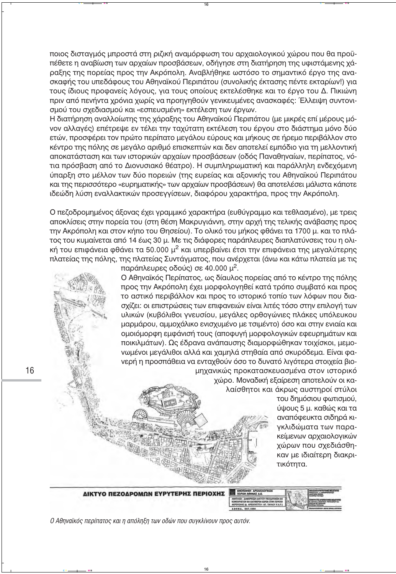ποιος δισταγμός μπροστά στη ριζική αναμόρφωση του αρχαιολογικού χώρου που θα προϋπέθετε η αναβίωση των αρχαίων προσβάσεων, οδήγησε στη διατήρηση της υφιστάμενης χάραξης της πορείας προς την Ακρόπολη. Αναβλήθηκε ωστόσο το σημαντικό έργο της ανασκαφής του υπεδάφους του Αθηναϊκού Περιπάτου (συνολικής έκτασης πέντε εκταρίων!) για τους ίδιους προφανείς λόγους, για τους οποίους εκτελέσθηκε και το έργο του Δ. Πικιώνη πριν από πενήντα χρόνια χωρίς να προηγηθούν γενικευμένες ανασκαφές: Έλλειψη συντονισμού του σχεδιασμού και «εσπευσμένη» εκτέλεση των έργων.

Η διατήρηση αναλλοίωτης της χάραξης του Αθηναϊκού Περιπάτου (με μικρές επί μέρους μόνον αλλαγές) επέτρεψε εν τέλει την ταχύτατη εκτέλεση του έργου στο διάστημα μόνο δύο ετών, προσφέρει τον πρώτο περίπατο μεγάλου εύρους και μήκους σε ήρεμο περιβάλλον στο κέντρο της πόλης σε μεγάλο αριθμό επισκεπτών και δεν αποτελεί εμπόδιο για τη μελλοντική αποκατάσταση και των ιστορικών αρχαίων προσβάσεων (οδός Παναθηναίων, περίπατος, νότια πρόσβαση από το Διονυσιακό θέατρο). Η συμπληρωματική και παράλληλη ενδεχόμενη ύπαρξη στο μέλλον των δύο πορειών (της ευρείας και αξονικής του Αθηναϊκού Περιπάτου Και της περισσότερο «ευρηματικής» των αρχαίων προσβάσεων) θα αποτελέσει μάλιστα κάποτε ιδεώδη λύση εναλλακτικών προσεγγίσεων, διαφόρου χαρακτήρα, προς την Ακρόπολη.

Ο πεζοδρομημένος άξονας έχει γραμμικό χαρακτήρα (ευθύγραμμο και τεθλασμένο), με τρεις αποκλίσεις στην πορεία του (στη θέση Μακρυγιάννη, στην αρχή της τελικής ανάβασης προς την Ακρόπολη και στον κήπο του Θησείου). Το ολικό του μήκος φθάνει τα 1700 μ. και το πλάτος του κυμαίνεται από 14 έως 30 μ. Με τις διάφορες παράπλευρες διαπλατύνσεις του η ολική του επιφάνεια φθάνει τα 50.000 μ<sup>2</sup> και υπερβαίνει έτσι την επιφάνεια της μεγαλύτερης πλατείας της πόλης, της πλατείας Συντάγματος, που ανέρχεται (άνω και κάτω πλατεία με τις

παράπλευρες οδούς) σε 40.000  $\mu^2$ .

Ο Αθηναϊκός Περίπατος, ως δίαυλος πορείας από το κέντρο της πόλης προς την Ακρόπολη έχει μορφολογηθεί κατά τρόπο συμβατό και προς το αστικό περιβάλλον και προς το ιστορικό τοπίο των λόφων που διασχίζει: οι επιστρώσεις των επιφανειών είναι λιτές τόσο στην επιλογή των υλικών (κυβόλιθοι γνευσίου, μεγάλες ορθογώνιες πλάκες υπόλευκου μαρμάρου, αμμοχάλικο ενισχυμένο με τσιμέντο) όσο και στην ενιαία και ομοιόμορφη εμφάνισή τους (αποφυγή μορφολογικών εφευρημάτων και ποικιλμάτων). Ως έδρανα ανάπαυσης διαμορφώθηκαν τοιχίσκοι, μεμονωμένοι μεγάλιθοι αλλά και χαμηλά στηθαία από σκυρόδεμα. Είναι φανερή η προσπάθεια να ενταχθούν όσο το δυνατό λιγότερα στοιχεία βιομηχανικώς προκατασκευασμένα στον ιστορικό

χώρο. Μοναδική εξαίρεση αποτελούν οι καλαίσθητοι και άκρως αυστηροί στύλοι

> του δημόσιου φωτισμού, ύψους 5 μ. καθώς και τα αναπόφευκτα σιδηρά κιγκλιδώματα των παρακείμενων αρχαιολογικών χώρων που σχεδιάσθηκαν με ιδιαίτερη διακριτικότητα.



Ο Αθηναϊκός περίπατος και η απόληξη των οδών που συγκλίνουν προς αυτόν.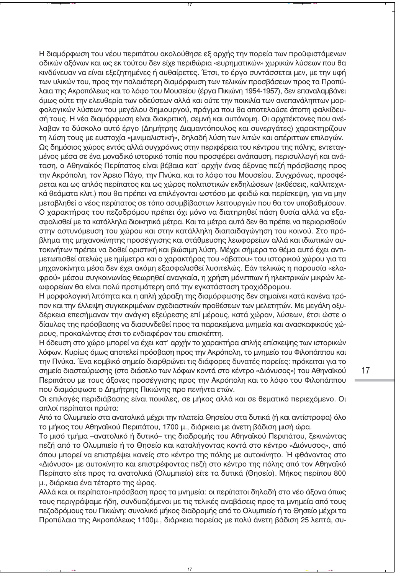Η διαμόρφωση του νέου περιπάτου ακολούθησε εξ αρχής την πορεία των προϋφιστάμενων οδικών αξόνων και ως εκ τούτου δεν είχε περιθώρια «ευρηματικών» χωρικών λύσεων που θα KIVδύνευαν να είναι εξεζητημένες ή αυθαίρετες. Έτσι, το έργο συντάσσεται μεν, με την υφή των υλικών του, προς την παλαιότερη διαμόρφωση των τελικών προσβάσεων προς τα Προπύλαια της Ακροπόλεως και το λόφο του Μουσείου (έργα Πικιώνη 1954-1957), δεν επαναλαμβάνει <u>όμως ούτε την ελευθερία των οδεύσεων αλλά και ούτε την ποικιλία των ανεπανάληπτων μορ-</u> Φολογικών λύσεων του μεγάλου δημιουργού, πράγμα που θα αποτελούσε άτοπη φαλκίδευσή τους. Η νέα διαμόρφωση είναι διακριτική, σεμνή και αυτόνομη. Οι αρχιτέκτονες που ανέλαβαν το δύσκολο αυτό έργο (Δημήτρης Διαμαντόπουλος και συνεργάτες) χαρακτηρίζουν τη λύση τους με ευστοχία «μινιμαλιστική», δηλαδή λύση των λιτών και απέριττων επιλογών.

Ως δημόσιος χώρος εντός αλλά συγχρόνως στην περιφέρεια του κέντρου της πόλης, εντεταγμένος μέσα σε ένα μοναδικό ιστορικό τοπίο που προσφέρει ανάπαυση, περισυλλογή και ανάταση, ο Αθηναϊκός Περίπατος είναι βέβαια κατ' αρχήν ένας άξονας πεζή πρόσβασης προς την Ακρόπολη, τον Άρειο Πάγο, την Πνύκα, και το λόφο του Μουσείου. Συγχρόνως, προσφέρεται και ως απλός περίπατος και ως χώρος πολιτιστικών εκδηλώσεων (εκθέσεις, καλλιτεχνικά θεάματα κλπ.) που θα πρέπει να επιλέγονται ωστόσο με φειδώ και περίσκεψη, για να μην μεταβληθεί ο νέος περίπατος σε τόπο ασυμβίβαστων λειτουργιών που θα τον υποβαθμίσουν. Ο χαρακτήρας του πεζοδρόμου πρέπει όχι μόνο να διατηρηθεί πάση θυσία αλλά να εξασφαλισθεί με τα κατάλληλα διοικητικά μέτρα. Και τα μέτρα αυτά δεν θα πρέπει να περιορισθούν στην αστυνόμευση του χώρου και στην κατάλληλη διαπαιδαγώγηση του κοινού. Στο πρόβλημα της μηχανοκίνητης προσέγγισης και στάθμευσης λεωφορείων αλλά και ιδιωτικών αυτοκινήτων πρέπει να δοθεί οριστική και βιώσιμη λύση. Μέχρι σήμερα το θέμα αυτό έχει αντιμετωπισθεί ατελώς με ημίμετρα και ο χαρακτήρας του «άβατου» του ιστορικού χώρου για τα μηχανοκίνητα μέσα δεν έχει ακόμη εξασφαλισθεί λυσιτελώς. Εάν τελικώς η παρουσία «ελαφρού» μέσου συγκοινωνίας θεωρηθεί αναγκαία, η χρήση μόνιππων ή ηλεκτρικών μικρών λεωφορείων θα είναι πολύ προτιμότερη από την εγκατάσταση τροχιόδρομου.

Η μορφολογική λιτότητα και η απλή χάραξη της διαμόρφωσης δεν σημαίνει κατά κανένα τρόπον και την έλλειψη συγκεκριμένων σχεδιαστικών προθέσεων των μελετητών. Με μεγάλη οξυδέρκεια επεσήμαναν την ανάγκη εξεύρεσης επί μέρους, κατά χώραν, λύσεων, έτσι ώστε ο δίαυλος της πρόσβασης να διασυνδεθεί προς τα παρακείμενα μνημεία και ανασκαφικούς χώρους, προκαλώντας έτσι το ενδιαφέρον του επισκέπτη.

Η όδευση στο χώρο μπορεί να έχει κατ' αρχήν το χαρακτήρα απλής επίσκεψης των ιστορικών λόφων. Κυρίως όμως αποτελεί πρόσβαση προς την Ακρόπολη, το μνημείο του Φιλοπάππου και την Πνύκα. Ένα κομβικό σημείο διαρθρώνει τις διάφορες δυνατές πορείες: πρόκειται για το σημείο διασταύρωσης (στο διάσελο των λόφων κοντά στο κέντρο «Διόνυσος») του Αθηναϊκού Περιπάτου με τους άξονες προσέγγισης προς την Ακρόπολη και το λόφο του Φιλοπάππου που διαμόρφωσε ο Δημήτρης Πικιώνης προ πενήντα ετών.

Οι επιλογές περιδιάβασης είναι ποικίλες, σε μήκος αλλά και σε θεματικό περιεχόμενο. Οι απλοί περίπατοι πρώτα:

Aπό το Ολυμπιείο στα ανατολικά μέχρι την πλατεία Θησείου στα δυτικά (ή και αντίστροφα) όλο το μήκος του Αθηναϊκού Περιπάτου, 1700 μ., διάρκεια με άνετη βάδιση μισή ώρα.

Το μισό τμήμα - ανατολικό ή δυτικό- της διαδρομής του Αθηναϊκού Περιπάτου, ξεκινώντας πεζή από το Ολυμπιείο ή το Θησείο και καταλήγοντας κοντά στο κέντρο «Διόνυσος», από όπου μπορεί να επιστρέψει κανείς στο κέντρο της πόλης με αυτοκίνητο. Ή φθάνοντας στο «Διόνυσο» με αυτοκίνητο και επιστρέφοντας πεζή στο κέντρο της πόλης από τον Αθηναϊκό Περίπατο είτε προς τα ανατολικά (Ολυμπιείο) είτε τα δυτικά (Θησείο). Μήκος περίπου 800 μ., διάρκεια ένα τέταρτο της ώρας.

Aλλά και οι περίπατοι-πρόσβαση προς τα μνημεία: οι περίπατοι δηλαδή στο νέο άξονα όπως τους περιγράψαμε ήδη, συνδυαζόμενοι με τις τελικές αναβάσεις προς τα μνημεία από τους πεζοδρόμους του Πικιώνη: συνολικό μήκος διαδρομής από το Ολυμπιείο ή το Θησείο μέχρι τα Пροπύλαια της Ακροπόλεως 1100μ., διάρκεια πορείας με πολύ άνετη βάδιση 25 λεπτά, συ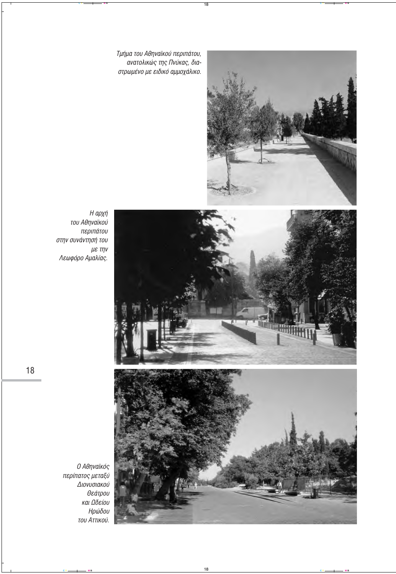**Τμήμα του Αθηναϊκού περιπάτου,** ··<br><sup>·</sup> ανατολικώς της Πνύκας, δια*στρωμένο με ειδικό αμμοχάλικο.* 



*Η αρχή ÙÔ˘ ∞ıËÓ·˚ÎÔ‡*   $\pi$ εριπάτου *στην συνάντησή του*  $\mu$ ε την *§ÂˆÊfiÚÔ ∞Ì·Ï›·˜.*



*Ο Αθηναϊκός ÂÚ›·ÙÔ˜ ÌÂٷ͇*   $A$ ιονυσιακού  $\theta$ *εάτρου και Ωδείου Ηρώδου ÙÔ˘ ∞ÙÙÈÎÔ‡.*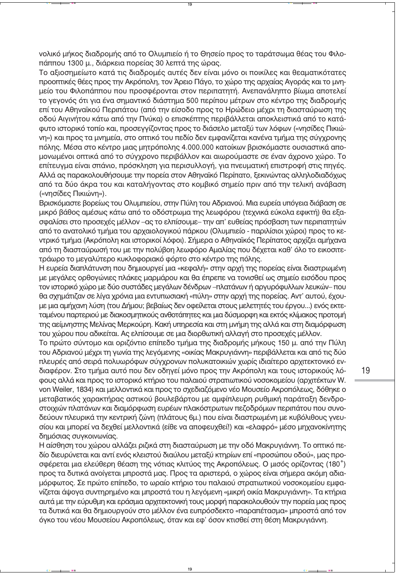νολικό μήκος διαδρομής από το Ολυμπιείο ή το Θησείο προς το ταράτσωμα θέας του Φιλοπάππου 1300 μ., διάρκεια πορείας 30 λεπτά της ώρας.

Το αξιοσημείωτο κατά τις διαδρομές αυτές δεν είναι μόνο οι ποικίλες και θεαματικότατες προοπτικές θέες προς την Ακρόπολη, τον Άρειο Πάνο, το χώρο της αρχαίας Ανοράς και το μνημείο του Φιλοπάππου που προσφέρονται στον περιπατητή. Ανεπανάληπτο βίωμα αποτελεί το γεγονός ότι για ένα σημαντικό διάστημα 500 περίπου μέτρων στο κέντρο της διαδρομής επί του Αθηναϊκού Περιπάτου (από την είσοδο προς το Ηρώδειο μέχρι τη διασταύρωση της οδού Αινινήτου κάτω από την Πνύκα) ο επισκέπτης περιβάλλεται αποκλειστικά από το κατάφυτο ιστορικό τοπίο και, προσεγγίζοντας προς το διάσελο μεταξύ των λόφων («νησίδες Πικιώνη») και προς τα μνημεία, στο οπτικό του πεδίο δεν εμφανίζεται κανένα τμήμα της σύνχρονης πόλης. Μέσα στο κέντρο μιας μητρόπολης 4.000.000 κατοίκων βρισκόμαστε ουσιαστικά απομονωμένοι οπτικά από το σύγχρονο περιβάλλον και αιωρούμαστε σε έναν άχρονο χώρο. Το επίτευγμα είναι σπάνιο, πρόσκληση για περισυλλογή, για πνευματική επιστροφή στις πηγές. Αλλά ας παρακολουθήσουμε την πορεία στον Αθηναϊκό Περίπατο, ξεκινώντας αλληλοδιαδόχως από τα δύο άκρα του και καταλήγοντας στο κομβικό σημείο πριν από την τελική ανάβαση («νησίδες Πικιώνη»).

Βρισκόμαστε βορείως του Ολυμπιείου, στην Πύλη του Αδριανού. Μια ευρεία υπόγεια διάβαση σε μικρό βάθος αμέσως κάτω από το οδόστρωμα της λεωφόρου (τεχνικά εύκολα εφικτή) θα εξασφαλίσει στο προσεχές μέλλον –ας το ελπίσουμε– την απ' ευθείας πρόσβαση των περιπατητών από το ανατολικό τμήμα του αρχαιολογικού πάρκου (Ολυμπιείο - παριλίσιοι χώροι) προς το κεντρικό τμήμα (Ακρόπολη και ιστορικοί λόφοι). Σήμερα ο Αθηναϊκός Περίπατος αρχίζει αμήχανα από τη διασταύρωσή του με την πολύβοη λεωφόρο Αμαλίας που δέχεται καθ' όλο το εικοσιτετράωρο το μεγαλύτερο κυκλοφοριακό φόρτο στο κέντρο της πόλης.

Η ευρεία διαπλάτυνση που δημιουργεί μια «κεφαλή» στην αρχή της πορείας είναι διαστρωμένη με μεγάλες ορθογώνιες πλάκες μαρμάρου και θα έπρεπε να τονισθεί ως σημείο εισόδου προς τον ιστορικό χώρο με δύο συστάδες μεγάλων δένδρων –πλατάνων ή αργυρόφυλλων λευκών– που θα σχημάτιζαν σε λίγα χρόνια μια εντυπωσιακή «πύλη» στην αρχή της πορείας. Αντ' αυτού, έχουμε μια αμήχανη λύση (του Δήμου; βεβαίως δεν οφείλεται στους μελετητές του έργου...) ενός εκτεταμένου παρτεριού με διακοσμητικούς ανθοτάπητες και μια δύσμορφη και εκτός κλίμακος προτομή της αείμνηστης Μελίνας Μερκούρη. Κακή υπηρεσία και στη μνήμη της αλλά και στη διαμόρφωση του χώρου που αδικείται. Ας ελπίσουμε σε μια διορθωτική αλλαγή στο προσεχές μέλλον.

Το πρώτο σύντομο και οριζόντιο επίπεδο τμήμα της διαδρομής μήκους 150 μ. από την Πύλη του Αδριανού μέχρι τη γωνία της λεγόμενης «οικίας Μακρυγιάννη» περιβάλλεται και από τις δύο πλευρές από σειρά πολυωρόφων σύγχρονων πολυκατοικιών χωρίς ιδιαίτερο αρχιτεκτονικό ενδιαφέρον. Στο τμήμα αυτό που δεν οδηγεί μόνο προς την Ακρόπολη και τους ιστορικούς λόφους αλλά και προς το ιστορικό κτήριο του παλαιού στρατιωτικού νοσοκομείου (αρχιτέκτων W. von Weiler, 1834) και μελλοντικά και προς το σχεδιαζόμενο νέο Μουσείο Ακροπόλεως, δόθηκε ο μεταβατικός χαρακτήρας αστικού βουλεβάρτου με αμφίπλευρη ρυθμική παράταξη δενδροστοιχιών πλατάνων και διαμόρφωση ευρέων πλακόστρωτων πεζοδρόμων περιπάτου που συνοδεύουν πλευρικά την κεντρική ζώνη (πλάτους 6μ.) που είναι διαστρωμένη με κυβόλιθους γνευσίου και μπορεί να δεχθεί μελλοντικά (είθε να αποφευχθεί!) και «ελαφρό» μέσο μηχανοκίνητης δημόσιας συγκοινωνίας.

Η αίσθηση του χώρου αλλάζει ριζικά στη διασταύρωση με την οδό Μακρυγιάννη. Το οπτικό πεδίο διευρύνεται και αντί ενός κλειστού διαύλου μεταξύ κτηρίων επί «προσώπου οδού», μας προσφέρεται μια ελεύθερη θέαση της νότιας κλιτύος της Ακροπόλεως. Ο μισός ορίζοντας (180°) προς τα δυτικά ανοίγεται μπροστά μας. Προς τα αριστερά, ο χώρος είναι σήμερα ακόμη αδιαμόρφωτος. Σε πρώτο επίπεδο, το ωραίο κτήριο του παλαιού στρατιωτικού νοσοκομείου εμφανίζεται άψογα συντηρημένο και μπροστά του η λεγόμενη «μικρή οικία Μακρυγιάννη». Τα κτήρια αυτά με την εύρυθμη και εράσμια αρχιτεκτονική τους μορφή παρακολουθούν την πορεία μας προς τα δυτικά και θα δημιουργούν στο μέλλον ένα ευπρόσδεκτο «παραπέτασμα» μπροστά από τον όγκο του νέου Μουσείου Ακροπόλεως, όταν και εφ' όσον κτισθεί στη θέση Μακρυγιάννη.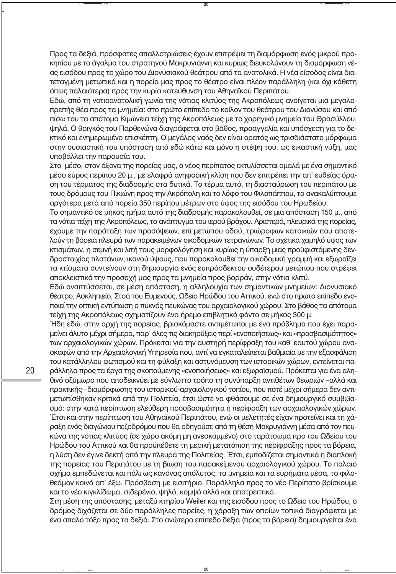Προς τα δεξιά, πρόσφατες απαλλοτριώσεις έχουν επιτρέψει τη διαμόρφωση ενός μικρού προκηπίου με το άναλμα του στρατηγού Μακρυγιάννη και κυρίως διευκολύνουν τη διαμόρφωση νέας εισόδου προς το χώρο του Διονυσιακού θεάτρου από τα ανατολικά. Η νέα είσοδος είναι διατετανμένη μετωπικά και η πορεία μας προς το θέατρο είναι πλέον παράλληλη (και όχι κάθετη όπως παλαιότερα) προς την κυρία κατεύθυνση του Αθηναϊκού Περιπάτου.

Εδώ, από τη νοτιοανατολική γωνία της νότιας κλιτύος της Ακροπόλεως ανοίγεται μια μεγαλοπρεπής θέα προς τα μνημεία; στο πρώτο επίπεδο το κοίλον του θεάτρου του Διονύσου και από πίσω του τα απότομα Κιμώνεια τείχη της Ακροπόλεως με το χορηγικό μνημείο του Θρασύλλου, ψηλά. Ο θριγκός του Παρθενώνα διαγράφεται στο βάθος, προαγγελία και υπόσχεση για το δεκτικό και ενημερωμένο επισκέπτη. Ο μεγάλος ναός δεν είναι ορατός ως τρισδιάστατο μόρφωμα στην ουσιαστική του υπόσταση από εδώ κάτω και μόνο η στέψη του, ως εικαστική νύξη, μας υποβάλλει την παρουσία του.

Στο μέσο, στον άξονα της πορείας μας, ο νέος περίπατος εκτυλίσσεται ομαλά με ένα σημαντικό μέσο εύρος περίπου 20 μ., με ελαφρά ανηφορική κλίση που δεν επιτρέπει την απ' ευθείας όραση του τέρματος της διαδρομής στα δυτικά. Το τέρμα αυτό, τη διασταύρωση του περιπάτου με τους δρόμους του Πικιώνη προς την Ακρόπολη και το λόφο του Φιλοπάππου, το ανακαλύπτουμε αργότερα μετά από πορεία 350 περίπου μέτρων στο ύψος της εισόδου του Ηρωδείου.

Το σημαντικό σε μήκος τμήμα αυτό της διαδρομής παρακολουθεί, σε μια απόσταση 150 μ., από τα νότια τείχη της Ακροπόλεως, το ανάπτυγμα του ιερού βράχου. Αριστερά, πλευρικά της πορείας, έχουμε την παράταξη των προσόψεων, επί μετώπου οδού, τριώροφων κατοικιών που αποτελούν τη βόρεια πλευρά των παρακειμένων οικοδομικών τετραγώνων. Το σχετικά χαμηλό ύψος των κτισμάτων, η σεμνή και λιτή τους μορφολόγηση και κυρίως η ύπαρξη μιας προϋφιστάμενης δενδροστοιχίας πλατάνων, ικανού ύψους, που παρακολουθεί την οικοδομική γραμμή και εξωραΐζει τα κτίσματα συντείνουν στη δημιουργία ενός ευπρόσδεκτου ουδέτερου μετώπου που στρέφει αποκλειστικά την προσοχή μας προς τα μνημεία προς βορράν, στην νότια κλιτύ.

Εδώ αναπτύσσεται, σε μέση απόσταση, η αλληλουχία των σημαντικών μνημείων: Διονυσιακό θέατρο, Ασκληπιείο, Στοά του Ευμενούς, Ωδείο Ηρώδου του Αττικού, ενώ στο πρώτο επίπεδο ενοποιεί την οπτική εντύπωση ο πυκνός πευκώνας του αρχαιολογικού χώρου. Στο βάθος τα απότομα τείχη της Ακροπόλεως σχηματίζουν ένα ήρεμο επιβλητικό φόντο σε μήκος 300 μ.

Ήδη εδώ, στην αρχή της πορείας, βρισκόμαστε αντιμέτωποι με ένα πρόβλημα που έχει παραμείνει άλυτο μέχρι σήμερα, παρ' όλες τις διακηρύξεις περί «ενοποιήσεως» και «προσβασιμότητος» των αρχαιολογικών χώρων. Πρόκειται για την αυστηρή περίφραξη του καθ' εαυτού χώρου ανασκαφών από την Αρχαιολογική Υπηρεσία που, αντί να εγκαταλείπεται βαθμιαία με την εξασφάλιση του κατάλληλου φωτισμού και τη φύλαξη και αστυνόμευση των ιστορικών χώρων, εντείνεται παράλληλα προς τα έργα της σκοπούμενης «ενοποιήσεως» και εξωραϊσμού. Πρόκειται για ένα αληθινό οξύμωρο που αποδεικνύει με εύγλωττο τρόπο τη συνύπαρξη αντιθέτων θεωριών –αλλά και πρακτικής– διαμόρφωσης του ιστορικού-αρχαιολογικού τοπίου, που ποτέ μέχρι σήμερα δεν αντιμετωπίσθηκαν κριτικά από την Πολιτεία, έτσι ώστε να φθάσουμε σε ένα δημιουργικό συμβιβασμό: στην κατά περίπτωση ελεύθερη προσβασιμότητα ή περίφραξη των αρχαιολογικών χώρων. Έτσι και στην περίπτωση του Αθηναϊκού Περιπάτου, ενώ οι μελετητές είχαν προτείνει και τη χάραξη ενός διαγώνιου πεζοδρόμου που θα οδηγούσε από τη θέση Μακρυγιάννη μέσα από τον πευκώνα της νότιας κλιτύος (σε χώρο ακόμη μη ανεσκαμμένο) στο ταράτσωμα προ του Ωδείου του Ηρώδου του Αττικού και θα προϋπέθετε τη μερική μετατόπιση της περίφραξης προς τα βόρεια, η λύση δεν έγινε δεκτή από την πλευρά της Πολιτείας. Έτσι, εμποδίζεται σημαντικά η διαπλοκή της πορείας του Περιπάτου με τη βίωση του παρακείμενου αρχαιολογικού χώρου. Το παλαιό σχήμα εμπεδώνεται και πάλι ως κανόνας απόλυτος: τα μνημεία και τα ευρήματα μέσα, το φιλοθεάμον κοινό απ' έξω. Πρόσβαση με εισιτήριο. Παράλληλα προς το νέο Περίπατο βρίσκουμε και το νέο κιγκλίδωμα, σιδερένιο, ψηλό, κομψό αλλά και αποτρεπτικό.

Στη μέση της απόστασης, μεταξύ κτηρίου Weiler και της εισόδου προς το Ωδείο του Ηρώδου, ο δρόμος διχάζεται σε δύο παράλληλες πορείες, η χάραξη των οποίων τοπικά διαγράφεται με ένα απαλό τόξο προς τα δεξιά. Στο ανώτερο επίπεδο δεξιά (προς τα βόρεια) δημιουργείται ένα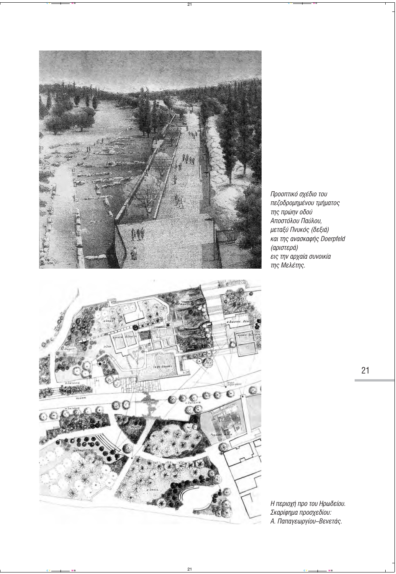

Προοπτικό σχέδιο του πεζοδρομημένου τμήματος της πρώην οδού Αποστόλου Παύλου. μεταξύ Πνυκός (δεξιά) και της ανασκαφής Doerpfeld (αριστερά) εις την αρχαία συνοικία της Μελέτης.

Η περιοχή προ του Ηρωδείου. Σκαρίφημα προσχεδίου: Α. Παπαγεωργίου-Βενετάς.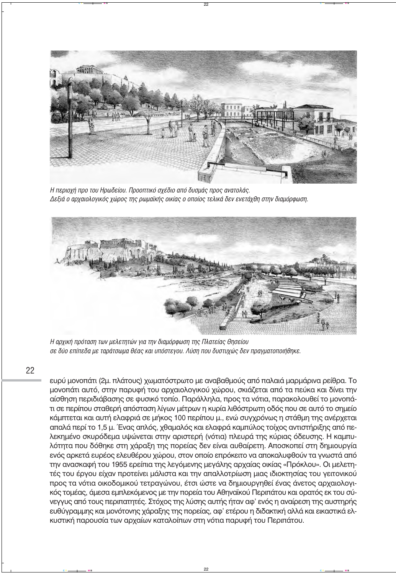

Η περιοχή προ του Ηρωδείου. Προοπτικό σχέδιο από δυσμάς προς ανατολάς.  $\Delta$ εξιά ο αρχαιολογικός χώρος της ρωμαϊκής οικίας ο οποίος τελικά δεν ενετάχθη στην διαμόρφωση.



Η αρχική πρόταση των μελετητών για την διαμόρφωση της Πλατείας *Θησείου* σε δύο επίπεδα με ταράτσωμα θέας και υπόστεγου. Λύση που δυστυχώς δεν πραγματοποιήθηκε.

22

ευρύ μονοπάτι (2μ. πλάτους) χωματόστρωτο με αναβαθμούς από παλαιά μαρμάρινα ρείθρα. Το μονοπάτι αυτό, στην παρυφή του αρχαιολογικού χώρου, σκιάζεται από τα πεύκα και δίνει την αίσθηση περιδιάβασης σε φυσικό τοπίο. Παράλληλα, προς τα νότια, παρακολουθεί το μονοπάτι σε περίπου σταθερή απόσταση λίγων μέτρων η κυρία λιθόστρωτη οδός που σε αυτό το σημείο κάμπτεται και αυτή ελαφριά σε μήκος 100 περίπου μ., ενώ συγχρόνως η στάθμη της ανέρχεται απαλά περί το 1,5 μ. Ένας απλός, χθαμαλός και ελαφρά καμπύλος τοίχος αντιστήριξης από πελεκημένο σκυρόδεμα υψώνεται στην αριστερή (νότια) πλευρά της κύριας όδευσης. Η καμπυλότητα που δόθηκε στη χάραξη της πορείας δεν είναι αυθαίρετη. Αποσκοπεί στη δημιουργία ενός αρκετά ευρέος ελευθέρου χώρου, στον οποίο επρόκειτο να αποκαλυφθούν τα γνωστά από την ανασκαφή του 1955 ερείπια της λεγόμενης μεγάλης αρχαίας οικίας «Πρόκλου». Οι μελετητές του έργου είχαν προτείνει μάλιστα και την απαλλοτρίωση μιας ιδιοκτησίας του γειτονικού προς τα νότια οικοδομικού τετραγώνου, έτσι ώστε να δημιουργηθεί ένας άνετος αρχαιολογι-Κός τομέας, άμεσα εμπλεκόμενος με την πορεία του Αθηναϊκού Περιπάτου και ορατός εκ του σύνεγγυς από τους περιπατητές. Στόχος της λύσης αυτής ήταν αφ' ενός η αναίρεση της αυστηρής ευθύγραμμης και μονότονης χάραξης της πορείας, αφ' ετέρου η διδακτική αλλά και εικαστικά ελκυστική παρουσία των αρχαίων καταλοίπων στη νότια παρυφή του Περιπάτου.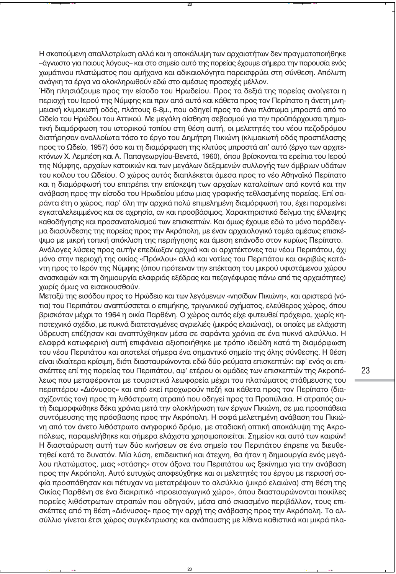Η σκοπούμενη απαλλοτρίωση αλλά και η αποκάλυψη των αρχαιοτήτων δεν πραγματοποιήθηκε –άγνωστο για ποιους λόγους– και στο σημείο αυτό της πορείας έχουμε σήμερα την παρουσία ενός χωμάτινου πλατώματος που αμήχανα και αδικαιολόγητα παρεισφρύει στη σύνθεση. Απόλυτη ανάγκη τα έργα να ολοκληρωθούν εδώ στο αμέσως προσεχές μέλλον.

Ήδη πλησιάζουμε προς την είσοδο του Ηρωδείου. Προς τα δεξιά της πορείας ανοίνεται η περιοχή του Ιερού της Νύμφης και πριν από αυτό και κάθετα προς τον Περίπατο η άνετη μνημειακή κλιμακωτή οδός, πλάτους 6-8μ., που οδηνεί προς το άνω πλάτωμα μπροστά από το Ωδείο του Ηρώδου του Αττικού. Με μενάλη αίσθηση σεβασμού για την προϋπάρχουσα τμηματική διαμόρφωση του ιστορικού τοπίου στη θέση αυτή, οι μελετητές του νέου πεζοδρόμου διατήρησαν αναλλοίωτα τόσο το έργο του Δημήτρη Πικιώνη (κλιμακωτή οδός προσπέλασης προς το Ωδείο, 1957) όσο και τη διαμόρφωση της κλιτύος μπροστά απ' αυτό (έργο των αρχιτε-Κτόνων Χ. Λεμπέση και Α. Παπαγεωργίου-Βενετά, 1960), όπου βρίσκονται τα ερείπια του Ιερού της Νύμφης, αρχαίων κατοικιών και των μεγάλων δεξαμενών συλλογής των όμβριων υδάτων του κοίλου του Ωδείου. Ο χώρος αυτός διαπλέκεται άμεσα προς το νέο Αθηναϊκό Περίπατο και η διαμόρφωσή του επιτρέπει την επίσκεψη των αρχαίων καταλοίπων από κοντά και την ανάβαση προς την είσοδο του Ηρωδείου μέσω μιας γραφικής τεθλασμένης πορείας. Επί σαράντα έτη ο χώρος, παρ' όλη την αρχικά πολύ επιμελημένη διαμόρφωσή του, έχει παραμείνει εγκαταλελειμμένος και σε αχρησία, αν και προσβάσιμος. Χαρακτηριστικό δείγμα της έλλειψης καθοδήγησης και προσανατολισμού των επισκεπτών. Και όμως έχουμε εδώ το μόνο παράδειγμα διασύνδεσης της πορείας προς την Ακρόπολη, με έναν αρχαιολογικό τομέα αμέσως επισκέψιμο με μικρή τοπική απόκλιση της περιήγησης και άμεση επάνοδο στον κυρίως Περίπατο. Ανάλογες λύσεις προς αυτήν επεδίωξαν αρχικά και οι αρχιτέκτονες του νέου Περιπάτου, όχι

μόνο στην περιοχή της οικίας «Πρόκλου» αλλά και νοτίως του Περιπάτου και ακριβώς κατά-Vτη προς το Ιερόν της Νύμφης (όπου πρότειναν την επέκταση του μικρού υφιστάμενου χώρου ανασκαφών και τη δημιουργία ελαφριάς εξέδρας και πεζογέφυρας πάνω από τις αρχαιότητες) χωρίς όμως να εισακουσθούν.

Μεταξύ της εισόδου προς το Ηρώδειο και των λεγόμενων «νησίδων Πικιώνη», και αριστερά (νότια) του Περιπάτου αναπτύσσεται ο επιμήκης, τριγωνικού σχήματος, ελεύθερος χώρος, όπου βρισκόταν μέχρι το 1964 η οικία Παρθένη. Ο χώρος αυτός είχε φυτευθεί πρόχειρα, χωρίς κηποτεχνικό σχέδιο, με πυκνά διατεταγμένες αγριελιές (μικρός ελαιώνας), οι οποίες με ελάχιστη ύδρευση επέζησαν και αναπτύχθηκαν μέσα σε σαράντα χρόνια σε ένα πυκνό αλσύλλιο. Η ελαφρά κατωφερική αυτή επιφάνεια αξιοποιήθηκε με τρόπο ιδεώδη κατά τη διαμόρφωση του νέου Περιπάτου και αποτελεί σήμερα ένα σημαντικό σημείο της όλης σύνθεσης. Η θέση είναι ιδιαίτερα κρίσιμη, διότι διασταυρώνονται εδώ δύο ρεύματα επισκεπτών: αφ' ενός οι επισκέπτες επί της πορείας του Περιπάτου, αφ' ετέρου οι ομάδες των επισκεπτών της Ακροπόλεως που μεταφέρονται με τουριστικά λεωφορεία μέχρι του πλατώματος στάθμευσης του περιπτέρου «Διόνυσος» και από εκεί προχωρούν πεζή και κάθετα προς τον Περίπατο (διασχίζοντάς τον) προς τη λιθόστρωτη ατραπό που οδηγεί προς τα Προπύλαια. Η ατραπός αυτή διαμορφώθηκε δέκα χρόνια μετά την ολοκλήρωση των έργων Πικιώνη, σε μια προσπάθεια συντόμευσης της πρόσβασης προς την Ακρόπολη. Η σοφά μελετημένη ανάβαση του Πικιώνη από τον άνετο λιθόστρωτο ανηφορικό δρόμο, με σταδιακή οπτική αποκάλυψη της Ακροπόλεως, παραμελήθηκε και σήμερα ελάχιστα χρησιμοποιείται. Σημείον και αυτό των καιρών! Η διασταύρωση αυτή των δύο κινήσεων σε ένα σημείο του Περιπάτου έπρεπε να διευθετηθεί κατά το δυνατόν. Μία λύση, επιδεικτική και άτεχνη, θα ήταν η δημιουργία ενός μεγάλου πλατώματος, μιας «στάσης» στον άξονα του Περιπάτου ως ξεκίνημα για την ανάβαση προς την Ακρόπολη. Αυτό ευτυχώς αποφεύχθηκε και οι μελετητές του έργου με περισσή σοφία προσπάθησαν και πέτυχαν να μετατρέψουν το αλσύλλιο (μικρό ελαιώνα) στη θέση της Οικίας Παρθένη σε ένα διακριτικό «προεισαγωγικό χώρο», όπου διασταυρώνονται ποικίλες πορείες λιθόστρωτων ατραπών που οδηγούν, μέσα από σκιασμένο περιβάλλον, τους επισκέπτες από τη θέση «Διόνυσος» προς την αρχή της ανάβασης προς την Ακρόπολη. Το αλσύλλιο γίνεται έτσι χώρος συγκέντρωσης και ανάπαυσης με λίθινα καθιστικά και μικρά πλα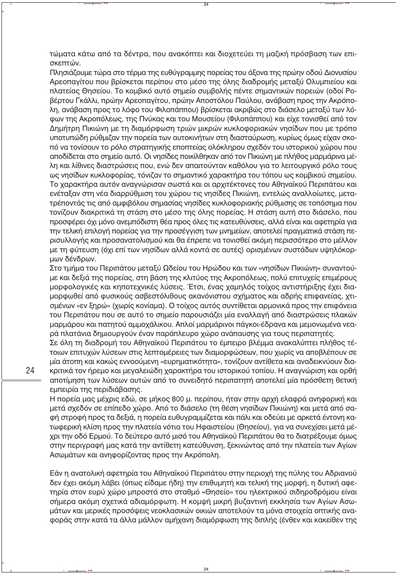τώματα κάτω από τα δέντρα, που ανακόπτει και διοχετεύει τη μαζική πρόσβαση των επισκεπτών.

Πλησιάζουμε τώρα στο τέρμα της ευθύγραμμης πορείας του άξονα της πρώην οδού Διονυσίου Αρεοπανίτου που βρίσκεται περίπου στο μέσο της όλης διαδρομής μεταξύ Ολυμπιείου και πλατείας Θησείου. Το κομβικό αυτό σημείο συμβολής πέντε σημαντικών πορειών (οδοί Poβέρτου Γκάλλι, πρώην Αρεοπαγίτου, πρώην Αποστόλου Παύλου, ανάβαση προς την Ακρόπολη, ανάβαση προς το λόφο του Φιλοπάππου) βρίσκεται ακριβώς στο διάσελο μεταξύ των λόφων της Ακροπόλεως, της Πνύκας και του Μουσείου (Φιλοπάππου) και είχε τονισθεί από τον Δημήτρη Πικιώνη με τη διαμόρφωση τριών μικρών κυκλοφοριακών νησίδων που με τρόπο υποτυπώδη ρύθμιζαν την πορεία των αυτοκινήτων στη διασταύρωση, κυρίως όμως είχαν σκοπό να τονίσουν το ρόλο στρατηγικής εποπτείας ολόκληρου σχεδόν του ιστορικού χώρου που αποδίδεται στο σημείο αυτό. Οι νησίδες ποικίλθηκαν από τον Πικιώνη με πλήθος μαρμάρινα μέλη και λίθινες διαστρώσεις που, ενώ δεν απαιτούνταν καθόλου για το λειτουργικό ρόλο τους ως νησίδων κυκλοφορίας, τόνιζαν το σημαντικό χαρακτήρα του τόπου ως κομβικού σημείου. Το χαρακτήρα αυτόν αναγνώρισαν σωστά και οι αρχιτέκτονες του Αθηναϊκού Περιπάτου και ενέταξαν στη νέα διαρρύθμιση του χώρου τις νησίδες Πικιώνη, εντελώς αναλλοίωτες, μετατρέποντάς τις από αμφιβόλου σημασίας νησίδες κυκλοφοριακής ρύθμισης σε τοπόσημα που τονίζουν διακριτικά τη στάση στο μέσο της όλης πορείας. Η στάση αυτή στο διάσελο, που προσφέρει όχι μόνο ανεμπόδιστη θέα προς όλες τις κατευθύνσεις, αλλά είναι και αφετηρία για την τελική επιλογή πορείας για την προσέγγιση των μνημείων, αποτελεί πραγματικά στάση περισυλλογής και προσανατολισμού και θα έπρεπε να τονισθεί ακόμη περισσότερο στο μέλλον με τη φύτευση (όχι επί των νησίδων αλλά κοντά σε αυτές) ορισμένων συστάδων υψηλόκορμων δένδρων.

Στο τμήμα του Περιπάτου μεταξύ Ωδείου του Ηρώδου και των «νησίδων Πικιώνη» συναντούμε και δεξιά της πορείας, στη βάση της κλιτύος της Ακροπόλεως, πολύ επιτυχείς επιμέρους μορφολογικές και κηποτεχνικές λύσεις. Έτσι, ένας χαμηλός τοίχος αντιστήριξης έχει διαμορφωθεί από φυσικούς ασβεστόλιθους ακανόνιστου σχήματος και αδρής επιφανείας, χτισμένων «εν ξηρώ» (χωρίς κονίαμα). Ο τοίχος αυτός συντίθεται αρμονικά προς την επιφάνεια του Περιπάτου που σε αυτό το σημείο παρουσιάζει μία εναλλαγή από διαστρώσεις πλακών μαρμάρου και πατητού αμμοχάλικου. Απλοί μαρμάρινοι πάγκοι-έδρανα και μεμονωμένα νεαρά πλατάνια δημιουργούν έναν παράπλευρο χώρο ανάπαυσης για τους περιπατητές.

Σε όλη τη διαδρομή του Αθηναϊκού Περιπάτου το έμπειρο βλέμμα ανακαλύπτει πλήθος τέτοιων επιτυχών λύσεων στις λεπτομέρειες των διαμορφώσεων, που χωρίς να αποβλέπουν σε μία άτοπη και κακώς εννοούμενη «ευρηματικότητα», τονίζουν αντίθετα και αναδεικνύουν δια-Κριτικά τον ήρεμο και μεγαλειώδη χαρακτήρα του ιστορικού τοπίου. Η αναγνώριση και ορθή αποτίμηση των λύσεων αυτών από το συνειδητό περιπατητή αποτελεί μία πρόσθετη θετική εμπειρία της περιδιάβασης.

Η πορεία μας μέχρις εδώ, σε μήκος 800 μ. περίπου, ήταν στην αρχή ελαφρά ανηφορική και μετά σχεδόν σε επίπεδο χώρο. Από το διάσελο (τη θέση νησίδων Πικιώνη) και μετά από σαφή στροφή προς τα δεξιά, η πορεία ευθυγραμμίζεται και πάλι και οδεύει με αρκετά έντονη κατωφερική κλίση προς την πλατεία νότια του Ηφαιστείου (Θησείου), για να συνεχίσει μετά μέχρι την οδό Ερμού. Το δεύτερο αυτό μισό του Αθηναϊκού Περιπάτου θα το διατρέξουμε όμως στην περιγραφή μας κατά την αντίθετη κατεύθυνση, ξεκινώντας από την πλατεία των Αγίων Ασωμάτων και ανηφορίζοντας προς την Ακρόπολη.

Εάν η ανατολική αφετηρία του Αθηναϊκού Περιπάτου στην περιοχή της πύλης του Αδριανού δεν έχει ακόμη λάβει (όπως είδαμε ήδη) την επιθυμητή και τελική της μορφή, η δυτική αφετηρία στον ευρύ χώρο μπροστά στο σταθμό «Θησείο» του ηλεκτρικού σιδηροδρόμου είναι σήμερα ακόμη σχετικά αδιαμόρφωτη. Η κομψή μικρή βυζαντινή εκκλησία των Αγίων Ασωμάτων και μερικές προσόψεις νεοκλασικών οικιών αποτελούν τα μόνα στοιχεία οπτικής αναφοράς στην κατά τα άλλα μάλλον αμήχανη διαμόρφωση της διπλής (ένθεν και κακείθεν της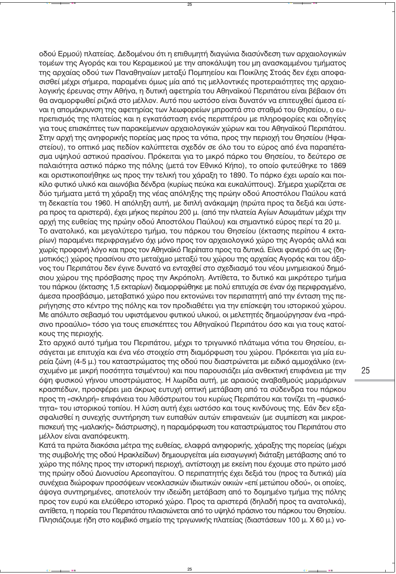οδού Ερμού) πλατείας. Δεδομένου ότι η επιθυμητή διανώνια διασύνδεση των αρχαιολονικών τομέων της Αγοράς και του Κεραμεικού με την αποκάλυψη του μη ανασκαμμένου τμήματος της αρχαίας οδού των Παναθηναίων μεταξύ Πομπηείου και Ποικίλης Στοάς δεν έχει αποφασισθεί μέχρι σήμερα, παραμένει όμως μία από τις μελλοντικές προτεραιότητες της αρχαιολογικής έρευνας στην Αθήνα, η δυτική αφετηρία του Αθηναϊκού Περιπάτου είναι βέβαιον ότι θα αναμορφωθεί ριζικά στο μέλλον. Αυτό που ωστόσο είναι δυνατόν να επιτευχθεί άμεσα είναι η απομάκρυνση της αφετηρίας των λεωφορείων μπροστά στο σταθμό του Θησείου, ο ευπρεπισμός της πλατείας και η ενκατάσταση ενός περιπτέρου με πληροφορίες και οδηγίες για τους επισκέπτες των παρακείμενων αρχαιολογικών χώρων και του Αθηναϊκού Περιπάτου. Στην αρχή της ανηφορικής πορείας μας προς τα νότια, προς την περιοχή του Θησείου (Ηφαιστείου), το οπτικό μας πεδίον καλύπτεται σχεδόν σε όλο του το εύρος από ένα παραπέτασμα υψηλού αστικού πρασίνου. Πρόκειται για το μικρό πάρκο του Θησείου, το δεύτερο σε παλαιότητα αστικό πάρκο της πόλης (μετά τον Εθνικό Κήπο), το οποίο φυτεύθηκε το 1869 και οριστικοποιήθηκε ως προς την τελική του χάραξη το 1890. Το πάρκο έχει ωραίο και ποικίλο φυτικό υλικό και αιωνόβια δένδρα (κυρίως πεύκα και ευκαλύπτους). Σήμερα χωρίζεται σε δύο τμήματα μετά τη χάραξη της νέας απόληξης της πρώην οδού Αποστόλου Παύλου κατά τη δεκαετία του 1960. Η απόληξη αυτή, με διπλή ανάκαμψη (πρώτα προς τα δεξιά και ύστερα προς τα αριστερά), έχει μήκος περίπου 200 μ. (από την πλατεία Αγίων Ασωμάτων μέχρι την αρχή της ευθείας της πρώην οδού Αποστόλου Παύλου) και σημαντικό εύρος περί τα 20 μ. Το ανατολικό, και μεγαλύτερο τμήμα, του πάρκου του Θησείου (έκτασης περίπου 4 εκταρίων) παραμένει περιφραγμένο όχι μόνο προς τον αρχαιολογικό χώρο της Αγοράς αλλά και χωρίς προφανή λόγο και προς τον Αθηναϊκό Περίπατο προς τα δυτικά. Είναι φανερό ότι ως (δημοτικός;) χώρος πρασίνου στο μεταίχμιο μεταξύ του χώρου της αρχαίας Αγοράς και του άξονος του Περιπάτου δεν έγινε δυνατό να ενταχθεί στο σχεδιασμό του νέου μνημειακού δημόσιου χώρου της πρόσβασης προς την Ακρόπολη. Αντίθετα, το δυτικό και μικρότερο τμήμα του πάρκου (έκτασης 1,5 εκταρίων) διαμορφώθηκε με πολύ επιτυχία σε έναν όχι περιφραγμένο, άμεσα προσβάσιμο, μεταβατικό χώρο που εκτονώνει τον περιπατητή από την ένταση της περιήγησης στο κέντρο της πόλης και τον προδιαθέτει για την επίσκεψη του ιστορικού χώρου. Με απόλυτο σεβασμό του υφιστάμενου φυτικού υλικού, οι μελετητές δημιούργησαν ένα «πράσινο προαύλιο» τόσο για τους επισκέπτες του Αθηναϊκού Περιπάτου όσο και για τους κατοίκους της περιοχής.

Στο αρχικό αυτό τμήμα του Περιπάτου, μέχρι το τριγωνικό πλάτωμα νότια του Θησείου, εισάγεται με επιτυχία και ένα νέο στοιχείο στη διαμόρφωση του χώρου. Πρόκειται για μία ευρεία ζώνη (4-5 μ.) του καταστρώματος της οδού που διαστρώνεται με ειδικό αμμοχάλικο (ενισχυμένο με μικρή ποσότητα τσιμέντου) και που παρουσιάζει μία ανθεκτική επιφάνεια με την όψη φυσικού γήινου υποστρώματος. Η λωρίδα αυτή, με αραιούς αναβαθμούς μαρμάρινων κρασπέδων, προσφέρει μια άκρως ευτυχή οπτική μετάβαση από τα σύδενδρα του πάρκου προς τη «σκληρή» επιφάνεια του λιθόστρωτου του κυρίως Περιπάτου και τονίζει τη «φυσικότητα» του ιστορικού τοπίου. Η λύση αυτή έχει ωστόσο και τους κινδύνους της. Εάν δεν εξασφαλισθεί η συνεχής συντήρηση των ευπαθών αυτών επιφανειών (με συμπίεση και μικροεπισκευή της «μαλακής» διάστρωσης), η παραμόρφωση του καταστρώματος του Περιπάτου στο μέλλον είναι αναπόφευκτη.

Κατά τα πρώτα διακόσια μέτρα της ευθείας, ελαφρά ανηφορικής, χάραξης της πορείας (μέχρι της συμβολής της οδού Ηρακλείδων) δημιουργείται μία εισαγωγική διάταξη μετάβασης από το χώρο της πόλης προς την ιστορική περιοχή, αντίστοιχη με εκείνη που έχουμε στο πρώτο μισό της πρώην οδού Διονυσίου Αρεοπαγίτου. Ο περιπατητής έχει δεξιά του (προς τα δυτικά) μία συνέχεια διώροφων προσόψεων νεοκλασικών ιδιωτικών οικιών «επί μετώπου οδού», οι οποίες, άψογα συντηρημένες, αποτελούν την ιδεώδη μετάβαση από το δομημένο τμήμα της πόλης προς τον ευρύ και ελεύθερο ιστορικό χώρο. Προς τα αριστερά (δηλαδή προς τα ανατολικά), αντίθετα, η πορεία του Περιπάτου πλαισιώνεται από το υψηλό πράσινο του πάρκου του Θησείου. Πλησιάζουμε ήδη στο κομβικό σημείο της τριγωνικής πλατείας (διαστάσεων 100 μ. Χ 60 μ.) νο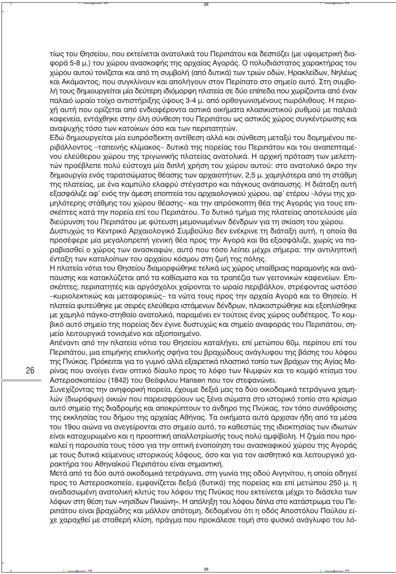τίως του Θησείου, που εκτείνεται ανατολικά του Περιπάτου και δεσπόζει (με υψομετρική διαφορά 5-8 μ.) του χώρου ανασκαφής της αρχαίας Αγοράς. Ο πολυδιάστατος χαρακτήρας του χώρου αυτού τονίζεται και από τη συμβολή (από δυτικά) των τριών οδών, Ηρακλείδων, Νηλέως και Ακάμαντος, που συνκλίνουν και απολήνουν στον Περίπατο στο σημείο αυτό. Στη συμβολή τους δημιουργείται μία δεύτερη ιδιόμορφη πλατεία σε δύο επίπεδα που χωρίζονται από έναν παλαιό ωραίο τοίχο αντιστήριξης ύψους 3-4 μ. από ορθογωνισμένους πωρόλιθους. Η περιοχή αυτή που ορίζεται από ενδιαφέροντα αστικά οικήματα κλασικιστικού ρυθμού με παλαιά καφενεία, εντάχθηκε στην όλη σύνθεση του Περιπάτου ως αστικός χώρος συγκέντρωσης και αναψυχής τόσο των κατοίκων όσο και των περιπατητών.

Εδώ δημιουργείται μία ευπρόσδεκτη αντίθεση αλλά και σύνθεση μεταξύ του δομημένου περιβάλλοντος –ταπεινής κλίμακος– δυτικά της πορείας του Περιπάτου και του αναπεπταμένου ελεύθερου χώρου της τριγωνικής πλατείας ανατολικά. Η αρχική πρόταση των μελετητών προέβλεπε πολύ εύστοχα μία διπλή χρήση του χώρου αυτού: στο ανατολικό άκρο την δημιουργία ενός ταρατσώματος θέασης των αρχαιοτήτων, 2,5 μ. χαμηλότερα από τη στάθμη της πλατείας, με ένα καμπύλο ελαφρύ στέγαστρο και πάγκους ανάπαυσης. Η διάταξη αυτή εξασφάλιζε αφ' ενός την άμεση εποπτεία του αρχαιολογικού χώρου, αφ' ετέρου –λόγω της χαμηλότερης στάθμης του χώρου θέασης– και την απρόσκοπτη θέα της Αγοράς για τους επισκέπτες κατά την πορεία επί του Περιπάτου. Το δυτικό τμήμα της πλατείας αποτελούσε μία διεύρυνση του Περιπάτου με φύτευση μεμονωμένων δένδρων για τη σκίαση του χώρου.

Δυστυχώς το Κεντρικό Αρχαιολογικό Συμβούλιο δεν ενέκρινε τη διάταξη αυτή, η οποία θα προσέφερε μία μεγαλοπρεπή γενική θέα προς την Αγορά και θα εξασφάλιζε, χωρίς να παpαβιασθεί ο χώρος των ανασκαφών, αυτό που τόσο λείπει μέχρι σήμερα: την αντιληπτική ένταξη των καταλοίπων του αρχαίου κόσμου στη ζωή της πόλης.

Η πλατεία νότια του Θησείου διαμορφώθηκε τελικά ως χώρος υπαίθριας παραμονής και ανάπαυσης και κατακλύζεται από τα καθίσματα και τα τραπέζια των γειτονικών καφενείων. Επισκέπτες, περιπατητές και αργόσχολοι χαίρονται το ωραίο περιβάλλον, στρέφοντας ωστόσο –κυριολεκτικώς και μεταφορικώς– τα νώτα τους προς την αρχαία Αγορά και το Θησείο. Η πλατεία φυτεύθηκε με σειρές ελεύθερα ιστάμενων δένδρων, πλακοστρώθηκε και εξοπλίσθηκε με χαμηλό πάγκο-στηθαίο ανατολικά, παραμένει εν τούτοις ένας χώρος ουδέτερος. Το κομβικό αυτό σημείο της πορείας δεν έγινε δυστυχώς και σημείο αναφοράς του Περιπάτου, σημείο λειτουργικά τονισμένο και αξιοποιημένο.

Απέναντι από την πλατεία νότια του Θησείου καταλήγει, επί μετώπου 60μ. περίπου επί του Περιπάτου, μια επιμήκης επικλινής σφήνα του βραχώδους ανάγλυφου της βάσης του λόφου της Πνύκας. Πρόκειται για το γυμνό αλλά εξαιρετικά πλαστικό τοπίο των βράχων της Αγίας Μαρίνας που ανοίγει έναν οπτικό δίαυλο προς το λόφο των Νυμφών και το κομψό κτίσμα του Αστεροσκοπείου (1842) του Θεόφιλου Hansen που τον στεφανώνει.

Συνεχίζοντας την ανηφορική πορεία, έχουμε δεξιά μας τα δύο οικοδομικά τετράγωνα χαμηλών (διωρόφων) οικιών που παρεισφρύουν ως ξένα σώματα στο ιστορικό τοπίο στο κρίσιμο αυτό σημείο της διαδρομής και αποκρύπτουν το άνδηρο της Πνύκας, τον τόπο συνάθροισης της εκκλησίας του δήμου της αρχαίας Αθήνας. Τα οικήματα αυτά άρχισαν ήδη από τα μέσα του 19ου αιώνα να ανεγείρονται στο σημείο αυτό, το καθεστώς της ιδιοκτησίας των ιδιωτών είναι κατοχυρωμένο και η προοπτική απαλλοτρίωσής τους πολύ αμφίβολη. Η ζημία που προκαλεί η παρουσία τους τόσο για την οπτική ενοποίηση του ανασκαφικού χώρου της Αγοράς με τους δυτικά κείμενους ιστορικούς λόφους, όσο και για τον αισθητικό και λειτουργικό χαρακτήρα του Αθηναϊκού Περιπάτου είναι σημαντική.

Μετά από τα δύο αυτά οικοδομικά τετράγωνα, στη γωνία της οδού Αιγηνίτου, η οποία οδηγεί προς το Αστεροσκοπείο, εμφανίζεται δεξιά (δυτικά) της πορείας και επί μετώπου 250 μ. η αναδασωμένη ανατολική κλιτύς του λόφου της Πνύκας που εκτείνεται μέχρι το διάσελο των λόφων στη θέση των «νησίδων Πικιώνη». Η απόληξη του λόφου δίπλα στο κατάστρωμα του Περιπάτου είναι βραχώδης και μάλλον απότομη, δεδομένου ότι η οδός Αποστόλου Παύλου είχε χαραχθεί με σταθερή κλίση, πράγμα που προκάλεσε τομή στο φυσικό ανάγλυφο του λό-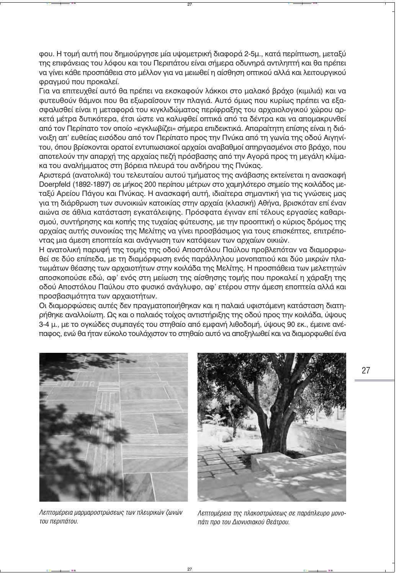φου. Η τομή αυτή που δημιούργησε μία υψομετρική διαφορά 2-5μ., κατά περίπτωση, μεταξύ της επιφάνειας του λόφου και του Περιπάτου είναι σήμερα οδυνηρά αντιληπτή και θα πρέπει να γίνει κάθε προσπάθεια στο μέλλον για να μειωθεί η αίσθηση οπτικού αλλά και λειτουργικού φρανμού που προκαλεί.

Για να επιτευχθεί αυτό θα πρέπει να εκσκαφούν λάκκοι στο μαλακό βράχο (κιμιλιά) και να φυτευθούν θάμνοι που θα εξωραΐσουν την πλαγιά. Αυτό όμως που κυρίως πρέπει να εξασφαλισθεί είναι η μεταφορά του κινκλιδώματος περίφραξης του αρχαιολογικού χώρου αρκετά μέτρα δυτικότερα, έτσι ώστε να καλυφθεί οπτικά από τα δέντρα και να απομακρυνθεί από τον Περίπατο τον οποίο «εγκλωβίζει» σήμερα επιδεικτικά. Απαραίτητη επίσης είναι η διάνοιξη απ' ευθείας εισόδου από τον Περίπατο προς την Πνύκα από τη νωνία της οδού Αινηνίτου, όπου βρίσκονται ορατοί εντυπωσιακοί αρχαίοι αναβαθμοί απηργασμένοι στο βράχο, που αποτελούν την απαρχή της αρχαίας πεζή πρόσβασης από την Αγορά προς τη μεγάλη κλίμακα του αναλήμματος στη βόρεια πλευρά του ανδήρου της Πνύκας.

Αριστερά (ανατολικά) του τελευταίου αυτού τμήματος της ανάβασης εκτείνεται η ανασκαφή Doerpfeld (1892-1897) σε μήκος 200 περίπου μέτρων στο χαμηλότερο σημείο της κοιλάδος μεταξύ Αρείου Πάγου και Πνύκας. Η ανασκαφή αυτή, ιδιαίτερα σημαντική για τις γνώσεις μας για τη διάρθρωση των συνοικιών κατοικίας στην αρχαία (κλασική) Αθήνα, βρισκόταν επί έναν αιώνα σε άθλια κατάσταση εγκατάλειψης. Πρόσφατα έγιναν επί τέλους εργασίες καθαρισμού, συντήρησης και κοπής της τυχαίας φύτευσης, με την προοπτική ο κύριος δρόμος της αρχαίας αυτής συνοικίας της Μελίτης να γίνει προσβάσιμος για τους επισκέπτες, επιτρέποντας μια άμεση εποπτεία και ανάγνωση των κατόψεων των αρχαίων οικιών.

Η ανατολική παρυφή της τομής της οδού Αποστόλου Παύλου προβλεπόταν να διαμορφωθεί σε δύο επίπεδα, με τη διαμόρφωση ενός παράλληλου μονοπατιού και δύο μικρών πλατωμάτων θέασης των αρχαιοτήτων στην κοιλάδα της Μελίτης. Η προσπάθεια των μελετητών αποσκοπούσε εδώ, αφ' ενός στη μείωση της αίσθησης τομής που προκαλεί η χάραξη της οδού Αποστόλου Παύλου στο φυσικό ανάγλυφο, αφ' ετέρου στην άμεση εποπτεία αλλά και προσβασιμότητα των αρχαιοτήτων.

Οι διαμορφώσεις αυτές δεν πραγματοποιήθηκαν και η παλαιά υφιστάμενη κατάσταση διατηρήθηκε αναλλοίωτη. Ως και ο παλαιός τοίχος αντιστήριξης της οδού προς την κοιλάδα, ύψους 3-4 μ., με το ογκώδες συμπαγές του στηθαίο από εμφανή λιθοδομή, ύψους 90 εκ., έμεινε ανέπαφος, ενώ θα ήταν εύκολο τουλάχιστον το στηθαίο αυτό να αποξηλωθεί και να διαμορφωθεί ένα



Λεπτομέρεια μαρμαροστρώσεως των πλευρικών ζωνών του περιπάτου.



Λεπτομέρεια της πλακοστρώσεως σε παράπλευρο μονοπάτι προ του Διονυσιακού Θεάτρου.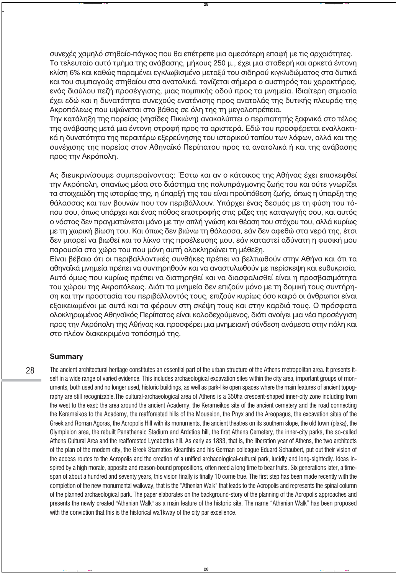συνεχές χαμηλό στηθαίο-πάνκος που θα επέτρεπε μια αμεσότερη επαφή με τις αρχαιότητες. Το τελευταίο αυτό τμήμα της ανάβασης, μήκους 250 μ., έχει μια σταθερή και αρκετά έντονη κλίση 6% και καθώς παραμένει εγκλωβισμένο μεταξύ του σιδηρού κιγκλιδώματος στα δυτικά και του συμπανούς στηθαίου στα ανατολικά, τονίζεται σήμερα ο αυστηρός του χαρακτήρας, ενός διαύλου πεζή προσέγγισης, μιας πομπικής οδού προς τα μνημεία. Ιδιαίτερη σημασία έχει εδώ και η δυνατότητα συνεχούς ενατένισης προς ανατολάς της δυτικής πλευράς της Ακροπόλεως που υψώνεται στο βάθος σε όλη της τη μεναλοπρέπεια.

Την κατάληξη της πορείας (νησίδες Πικιώνη) ανακαλύπτει ο περιπατητής ξαφνικά στο τέλος της ανάβασης μετά μια έντονη στροφή προς τα αριστερά. Εδώ του προσφέρεται εναλλακτικά η δυνατότητα της περαιτέρω εξερεύνησης του ιστορικού τοπίου των λόφων, αλλά και της συνέχισης της πορείας στον Αθηναϊκό Περίπατου προς τα ανατολικά ή και της ανάβασης προς την Ακρόπολη.

Ας διευκρινίσουμε συμπεραίνοντας: Έστω και αν ο κάτοικος της Αθήνας έχει επισκεφθεί την Ακρόπολη, σπανίως μέσα στο διάστημα της πολυπράγμονης ζωής του και ούτε γνωρίζει τα στοιχειώδη της ιστορίας της, η ύπαρξή της του είναι προϋπόθεση ζωής, όπως η ύπαρξη της θάλασσας και των βουνών που τον περιβάλλουν. Υπάρχει ένας δεσμός με τη φύση του τόπου σου, όπως υπάρχει και ένας πόθος επιστροφής στις ρίζες της καταγωγής σου, και αυτός ο νόστος δεν πραγματώνεται μόνο με την απλή γνώση και θέαση του στόχου του, αλλά κυρίως με τη χωρική βίωση του. Και όπως δεν βιώνω τη θάλασσα, εάν δεν αφεθώ στα νερά της, έτσι δεν μπορεί να βιωθεί και το λίκνο της προέλευσης μου, εάν καταστεί αδύνατη η φυσική μου παρουσία στο χώρο του που μόνη αυτή ολοκληρώνει τη μέθεξη.

Είναι βέβαιο ότι οι περιβαλλοντικές συνθήκες πρέπει να βελτιωθούν στην Αθήνα και ότι τα αθηναϊκά μνημεία πρέπει να συντηρηθούν και να αναστυλωθούν με περίσκεψη και ευθυκρισία. Αυτό όμως που κυρίως πρέπει να διατηρηθεί και να διασφαλισθεί είναι η προσβασιμότητα του χώρου της Ακροπόλεως. Διότι τα μνημεία δεν επιζούν μόνο με τη δομική τους συντήρηση και την προστασία του περιβάλλοντός τους, επιζούν κυρίως όσο καιρό οι άνθρωποι είναι εξοικειωμένοι με αυτά και τα φέρουν στη σκέψη τους και στην καρδιά τους. Ο πρόσφατα ολοκληρωμένος Αθηναϊκός Περίπατος είναι καλοδεχούμενος, διότι ανοίγει μια νέα προσέγγιση προς την Ακρόπολη της Αθήνας και προσφέρει μια μνημειακή σύνδεση ανάμεσα στην πόλη και στο πλέον διακεκριμένο τοπόσημό της.

#### **Summary**

The ancient architectural heritage constitutes an essential part of the urban structure of the Athens metropolitan area. It presents itself in a wide range of varied evidence. This includes archaeological excavation sites within the city area, important groups of monuments, both used and no longer used, historic buildings, as well as park-like open spaces where the main features of ancient topography are still recognizable. The cultural-archaeological area of Athens is a 350ha crescent-shaped inner-city zone including from the west to the east: the area around the ancient Academy, the Kerameikos site of the ancient cemetery and the road connecting the Kerameikos to the Academy, the reafforested hills of the Mouseion, the Pnyx and the Areopagus, the excavation sites of the Greek and Roman Agoras, the Acropolis Hill with its monuments, the ancient theatres on its southern slope, the old town (plaka), the Olympieion area, the rebuilt Panathenaic Stadium and Ardetios hill, the first Athens Cemetery, the inner-city parks, the so-called Athens Cultural Area and the reafforested Lycabettus hill. As early as 1833, that is, the liberation year of Athens, the two architects of the plan of the modem city, the Greek Stamatios Kleanthis and his German colleague Eduard Schaubert, put out their vision of the access routes to the Acropolis and the creation of a unified archaeological-cultural park, lucidly and long-sightedly. Ideas inspired by a high morale, apposite and reason-bound propositions, often need a long time to bear fruits. Six generations later, a timespan of about a hundred and seventy years, this vision finally is finally 10 come true. The first step has been made recently with the completion of the new monumental walkway, that is the "Athenian Walk" that leads to the Acropolis and represents the spinal column of the planned archaeological park. The paper elaborates on the background-story of the planning of the Acropolis approaches and presents the newly created "Athenian Walk" as a main feature of the historic site. The name "Athenian Walk" has been proposed with the conviction that this is the historical wa1kway of the city par excellence.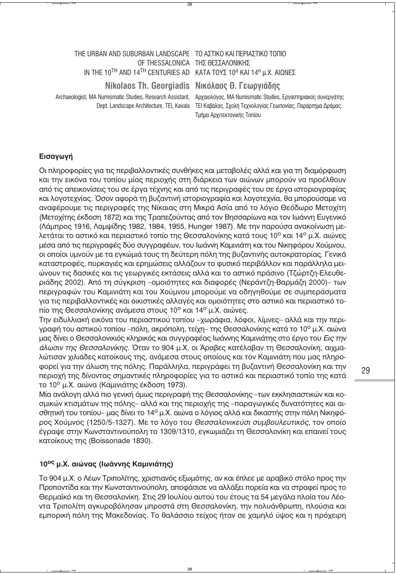#### THE URBAN AND SUBURBAN LANDSCAPE TO ΑΣΤΙΚΟ ΚΑΙ ΠΕΡΙΑΣΤΙΚΟ ΤΟΠΙΟ ΟF THESSALONICA THΣ ΘΕΣΣΑΛΟΝΙΚΗΣ IN THE 10TH AND 14TH CENTURIES AD KATA TOYΣ 10<sup>°</sup> KAI 14<sup>°</sup> μ.Χ. ΑΙΩΝΕΣ

**Nikolaos Th. Georgiadis Nικόλαος Θ. Γεωργιάδης** 

Archaeologist, MA Numismatic Studies, Research Assistant, Aρχαιολόγος, MA Numismatic Studies, Εργαστηριακός συνεργάτης Dept. Landscape Architecture, TEI, Kavala TEI Καβάλας, Σχολή Τεχνολογίας Γεωπονίας, Παράρτημα Δράμας, **Τμήμα Αρχιτεκτονικής Τοπίου** 

### **Eισαγωγή**

Οι πληροφορίες για τις περιβαλλοντικές συνθήκες και μεταβολές αλλά και για τη διαμόρφωση και την εικόνα του τοπίου μίας περιοχής στη διάρκεια των αιώνων μπορούν να προέλθουν από τις απεικονίσεις του σε έργα τέχνης και από τις περιγραφές του σε έργα ιστοριογραφίας και λογοτεχνίας. Όσον αφορά τη βυζαντινή ιστοριογραφία και λογοτεχνία, θα μπορούσαμε να αναφέρουμε τις περιγραφές της Νίκαιας στη Μικρά Ασία από το λόγιο Θεόδωρο Μετοχίτη (Μετοχίτης έκδοση 1872) και της Τραπεζούντας από τον Βησσαρίωνα και τον Ιωάννη Ευγενικό (Λάμπρος 1916, Λαμψίδης 1982, 1984, 1955, Hunger 1987). Με την παρούσα ανακοίνωση μελετάται το αστικό και περιαστικό τοπίο της Θεσσαλονίκης κατά τους 10<sup>ο</sup> και 14<sup>ο</sup> μ.Χ. αιώνες μέσα από τις περιγραφές δύο συγγραφέων, του Ιωάννη Καμινιάτη και του Νικηφόρου Χούμνου, οι οποίοι υμνούν με τα εγκώμιά τους τη δεύτερη πόλη της βυζαντινής αυτοκρατορίας. Γενικά καταστροφές, πυρκαγιές και ερημώσεις αλλάζουν το φυσικό περιβάλλον και παράλληλα μειώνουν τις δασικές και τις γεωργικές εκτάσεις αλλά και το αστικό πράσινο (Τζώρτζη-Ελευθεριάδης 2002). Από τη σύνκριση –ομοιότητες και διαφορές (Νεράντζη-Βαρμάζη 2000)– των περιγραφών του Καμινιάτη και του Χούμνου μπορούμε να οδηγηθούμε σε συμπεράσματα για τις περιβαλλοντικές και οικιστικές αλλαγές και ομοιότητες στο αστικό και περιαστικό τοπίο της Θεσσαλονίκης ανάμεσα στους 10<sup>°</sup> και 14<sup>°</sup> μ.Χ. αιώνες.

Την ειδυλλιακή εικόνα του περιαστικού τοπίου -χωράφια, λόφοι, λίμνες- αλλά και την περιγραφή του αστικού τοπίου -πόλη, ακρόπολη, τείχη- της Θεσσαλονίκης κατά το 10° μ.Χ. αιώνα μας δίνει ο Θεσσαλονικιός κληρικός και συγγραφέας Ιωάννης Καμινιάτης στο έργο του *Εις την άλωσιν της Θεσσαλονίκης.* Όταν το 904 μ.Χ. οι Άραβες κατέλαβαν τη Θεσσαλονίκη, αιχμαλώτισαν χιλιάδες κατοίκους της, ανάμεσα στους οποίους και τον Καμινιάτη που μας πληροφορεί για την άλωση της πόλης. Παράλληλα, περιγράφει τη βυζαντινή Θεσσαλονίκη και την περιοχή της δίνοντας σημαντικές πληροφορίες για το αστικό και περιαστικό τοπίο της κατά το 10<sup>ο</sup> μ.Χ. αιώνα (Καμινιάτης έκδοση 1973).

Μία ανάλογη αλλά πιο γενική όμως περιγραφή της Θεσσαλονίκης –των εκκλησιαστικών και κοσμικών κτισμάτων της πόλης- αλλά και της περιοχής της -παραγωγικές δυνατότητες και αισθητική του τοπίου– μας δίνει το 14<sup>ο</sup> μ.Χ. αιώνα ο λόγιος αλλά και δικαστής στην πόλη Νικηφόρος Χούμνος (1250/5-1327). Με το λόγο του Θεσσαλονικεύσι συμβουλευτικός, τον οποίο έγραψε στην Κωνσταντινούπολη το 1309/1310, εγκωμιάζει τη Θεσσαλονίκη και επαινεί τους κατοίκους της (Boissonade 1830).

### 10<sup>oς</sup> μ.Χ. αιώνας (Ιωάννης Καμινιάτης)

Το 904 μ.Χ. ο Λέων Τριπολίτης, χριστιανός εξωμότης, αν και έπλεε με αραβικό στόλο προς την Προποντίδα και την Κωνσταντινούπολη, αποφάσισε να αλλάξει πορεία και να στραφεί προς το Θερμαϊκό και τη Θεσσαλονίκη. Στις 29 Ιουλίου αυτού του έτους τα 54 μεγάλα πλοία του Λέοντα Τριπολίτη αγκυροβόλησαν μπροστά στη Θεσσαλονίκη, την πολυάνθρωπη, πλούσια και εμπορική πόλη της Μακεδονίας. Το θαλάσσιο τείχος ήταν σε χαμηλό ύψος και η πρόχειρη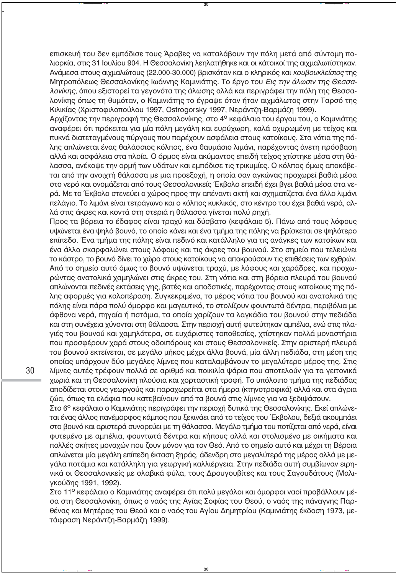επισκευή του δεν εμπόδισε τους Άραβες να καταλάβουν την πόλη μετά από σύντομη πολιορκία, στις 31 Ιουλίου 904. Η Θεσσαλονίκη λεηλατήθηκε και οι κάτοικοί της αιχμαλωτίστηκαν. Aνάμεσα στους αιχμαλώτους (22.000-30.000) βρισκόταν και ο κληρικός και *κουβουκλείσιος* της Μητροπόλεως Θεσσαλονίκης Ιωάννης Καμινιάτης. Το έργο του *Εις την άλωσιν της Θεσσαλονίκης, όπου εξιστορεί τα νενονότα της άλωσης αλλά και περινράφει την πόλη της Θεσσα*λονίκης όπως τη θυμόταν, ο Καμινιάτης το έγραψε όταν ήταν αιχμάλωτος στην Ταρσό της Κιλικίας (Χριστοφιλοπούλου 1997, Ostrogorsky 1997, Νεράντζη-Βαρμάζη 1999).

Αρχίζοντας την περιγραφή της Θεσσαλονίκης, στο 4<sup>ο</sup> κεφάλαιο του έργου του, ο Καμινιάτης αναφέρει ότι πρόκειται για μία πόλη μεγάλη και ευρύχωρη, καλά οχυρωμένη με τείχος και πυκνά διατεταγμένους πύργους που παρέχουν ασφάλεια στους κατοίκους. Στα νότια της πόλης απλώνεται ένας θαλάσσιος κόλπος, ένα θαυμάσιο λιμάνι, παρέχοντας άνετη πρόσβαση αλλά και ασφάλεια στα πλοία. Ο όρμος είναι ακύμαντος επειδή τείχος χτίστηκε μέσα στη θάλασσα, ανέκοψε την ορμή των υδάτων και εμπόδισε τις τρικυμίες. Ο κόλπος όμως αποκόβεται από την ανοιχτή θάλασσα με μια προεξοχή, η οποία σαν αγκώνας προχωρεί βαθιά μέσα στο νερό και ονομάζεται από τους Θεσσαλονικείς Έκβολο επειδή έχει βγει βαθιά μέσα στα νερά. Με το Έκβολο στενεύει ο χώρος προς την απέναντι ακτή και σχηματίζεται ένα άλλο λιμάνι πελάγιο. Το λιμάνι είναι τετράγωνο και ο κόλπος κυκλικός, στο κέντρο του έχει βαθιά νερά, αλλά στις άκρες και κοντά στη στεριά η θάλασσα γίνεται πολύ ρηχή.

Προς τα βόρεια το έδαφος είναι τραχύ και δύσβατο (κεφάλαιο 5). Πάνω από τους λόφους υψώνεται ένα ψηλό βουνό, το οποίο κάνει και ένα τμήμα της πόλης να βρίσκεται σε ψηλότερο επίπεδο. Ένα τμήμα της πόλης είναι πεδινό και κατάλληλο για τις ανάγκες των κατοίκων και ένα άλλο σκαρφαλώνει στους λόφους και τις άκρες του βουνού. Στο σημείο που τελειώνει το κάστρο, το βουνό δίνει το χώρο στους κατοίκους να αποκρούσουν τις επιθέσεις των εχθρών. Aπό το σημείο αυτό όμως το βουνό υψώνεται τραχύ, με λόφους και χαράδρες, και προχωρώντας ανατολικά χαμηλώνει στις άκρες του. Στη νότια και στη βόρεια πλευρά του βουνού απλώνονται πεδινές εκτάσεις γης, βατές και αποδοτικές, παρέχοντας στους κατοίκους της πόλης αφορμές για καλοπέραση. Συγκεκριμένα, το μέρος νότια του βουνού και ανατολικά της πόλης είναι πάρα πολύ όμορφο και μαγευτικό, το στολίζουν φουντωτά δέντρα, περιβόλια με άφθονα νερά, πηγαία ή ποτάμια, τα οποία χαρίζουν τα λαγκάδια του βουνού στην πεδιάδα και στη συνέχεια χύνονται στη θάλασσα. Στην περιοχή αυτή φυτεύτηκαν αμπέλια, ενώ στις πλαγιές του βουνού και χαμηλότερα, σε ευχάριστες τοποθεσίες, χτίστηκαν πολλά μοναστήρια που προσφέρουν χαρά στους οδοιπόρους και στους Θεσσαλονικείς. Στην αριστερή πλευρά του βουνού εκτείνεται, σε μεγάλο μήκος μέχρι άλλα βουνά, μία άλλη πεδιάδα, στη μέση της οποίας υπάρχουν δύο μεγάλες λίμνες που καταλαμβάνουν το μεγαλύτερο μέρος της. Στις λίμνες αυτές τρέφουν πολλά σε αριθμό και ποικιλία ψάρια που αποτελούν για τα γειτονικά χωριά και τη Θεσσαλονίκη πλούσια και χορταστική τροφή. Το υπόλοιπο τμήμα της πεδιάδας αποδίδεται στους γεωργούς και παραχωρείται στα ήμερα (κτηνοτροφικά) αλλά και στα άνρια ζώα, όπως τα ελάφια που κατεβαίνουν από τα βουνά στις λίμνες για να ξεδιψάσουν.

Στο 6<sup>ο</sup> κεφάλαιο ο Καμινιάτης περιγράφει την περιοχή δυτικά της Θεσσαλονίκης. Εκεί απλώνεται ένας άλλος πανέμορφος κάμπος που ξεκινάει από το τείχος του Έκβολου, δεξιά ακουμπάει στο βουνό και αριστερά συνορεύει με τη θάλασσα. Μεγάλο τμήμα του ποτίζεται από νερά, είναι φυτεμένο με αμπέλια, φουντωτά δέντρα και κήπους αλλά και στολισμένο με οικήματα και πολλές σκήτες μοναχών που ζουν μόνον για τον Θεό. Από το σημείο αυτό και μέχρι τη Βέροια απλώνεται μία μεγάλη επίπεδη έκταση ξηράς, άδενδρη στο μεγαλύτερό της μέρος αλλά με μεγάλα ποτάμια και κατάλληλη για γεωργική καλλιέργεια. Στην πεδιάδα αυτή συμβίωναν ειρηνικά οι Θεσσαλονικείς με σλαβικά φύλα, τους Δρουγουβίτες και τους Σαγουδάτους (Μαλιγκούδης 1991, 1992).

Στο 11<sup>ο</sup> κεφάλαιο ο Καμινιάτης αναφέρει ότι πολύ μεγάλοι και όμορφοι ναοί προβάλλουν μέσα στη Θεσσαλονίκη, όπως ο ναός της Αγίας Σοφίας του Θεού, ο ναός της πάναγνης Παρθένας και Μητέρας του Θεού και ο ναός του Αγίου Δημητρίου (Καμινιάτης έκδοση 1973, μετάφραση Νεράντζη-Βαρμάζη 1999).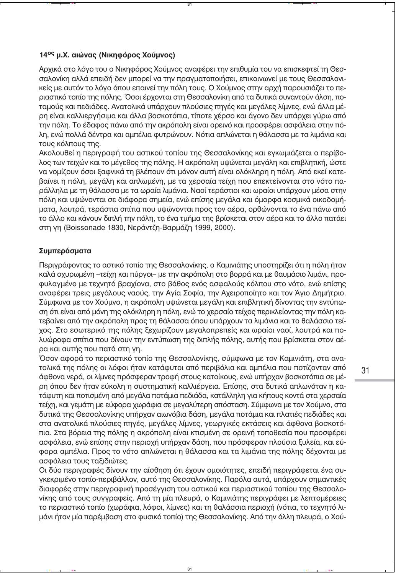#### 14<sup>oc</sup> u.X. giώvac (Νικηφόρος Χούμνος)

Αρχικά στο λόγο του ο Νικηφόρος Χούμνος αναφέρει την επιθυμία του να επισκεφτεί τη Θεσσαλονίκη αλλά επειδή δεν μπορεί να την πραγματοποιήσει, επικοινωνεί με τους Θεσσαλονικείς με αυτόν το λόγο όπου επαινεί την πόλη τους. Ο Χούμνος στην αρχή παρουσιάζει το περιαστικό τοπίο της πόλης. Όσοι έρχονται στη Θεσσαλονίκη από τα δυτικά συναντούν άλση, ποταμούς και πεδιάδες. Ανατολικά υπάρχουν πλούσιες πηγές και μεγάλες λίμνες, ενώ άλλα μέρη είναι καλλιερνήσιμα και άλλα βοσκοτόπια, τίποτε χέρσο και άνονο δεν υπάρχει νύρω από την πόλη. Το έδαφος πάνω από την ακρόπολη είναι ορεινό και προσφέρει ασφάλεια στην πόλη, ενώ πολλά δέντρα και αμπέλια φυτρώνουν. Νότια απλώνεται η θάλασσα με τα λιμάνια και τους κόλπους της.

Ακολουθεί η περιγραφή του αστικού τοπίου της Θεσσαλονίκης και εγκωμιάζεται ο περίβολος των τειχών και το μέγεθος της πόλης. Η ακρόπολη υψώνεται μεγάλη και επιβλητική, ώστε να νομίζουν όσοι ξαφνικά τη βλέπουν ότι μόνον αυτή είναι ολόκληρη η πόλη. Από εκεί κατεβαίνει η πόλη, μεγάλη και απλωμένη, με τα χερσαία τείχη που επεκτείνονται στο νότο παράλληλα με τη θάλασσα με τα ωραία λιμάνια. Ναοί τεράστιοι και ωραίοι υπάρχουν μέσα στην πόλη και υψώνονται σε διάφορα σημεία, ενώ επίσης μεγάλα και όμορφα κοσμικά οικοδομήματα, λουτρά, τεράστια σπίτια που υψώνονται προς τον αέρα, ορθώνονται το ένα πάνω από το άλλο και κάνουν διπλή την πόλη, το ένα τμήμα της βρίσκεται στον αέρα και το άλλο πατάει στη γη (Boissonade 1830, Νεράντζη-Βαρμάζη 1999, 2000).

### Συμπεράσματα

Περιγράφοντας το αστικό τοπίο της Θεσσαλονίκης, ο Καμινιάτης υποστηρίζει ότι η πόλη ήταν καλά οχυρωμένη –τείχη και πύργοι– με την ακρόπολη στο βορρά και με θαυμάσιο λιμάνι, προφυλαγμένο με τεχνητό βραχίονα, στο βάθος ενός ασφαλούς κόλπου στο νότο, ενώ επίσης αναφέρει τρεις μεγάλους ναούς, την Αγία Σοφία, την Αχειροποίητο και τον Άγιο Δημήτριο. Σύμφωνα με τον Χούμνο, η ακρόπολη υψώνεται μεγάλη και επιβλητική δίνοντας την εντύπωση ότι είναι από μόνη της ολόκληρη η πόλη, ενώ το χερσαίο τείχος περικλείοντας την πόλη κατεβαίνει από την ακρόπολη προς τη θάλασσα όπου υπάρχουν τα λιμάνια και το θαλάσσιο τείχος. Στο εσωτερικό της πόλης ξεχωρίζουν μεγαλοπρεπείς και ωραίοι ναοί, λουτρά και πολυώροφα σπίτια που δίνουν την εντύπωση της διπλής πόλης, αυτής που βρίσκεται στον αέρα και αυτής που πατά στη γη.

Όσον αφορά το περιαστικό τοπίο της Θεσσαλονίκης, σύμφωνα με τον Καμινιάτη, στα ανατολικά της πόλης οι λόφοι ήταν κατάφυτοι από περιβόλια και αμπέλια που ποτίζονταν από άφθονα νερά, οι λίμνες πρόσφεραν τροφή στους κατοίκους, ενώ υπήρχαν βοσκοτόπια σε μέρη όπου δεν ήταν εύκολη η συστηματική καλλιέργεια. Επίσης, στα δυτικά απλωνόταν η κατάφυτη και ποτισμένη από μεγάλα ποτάμια πεδιάδα, κατάλληλη για κήπους κοντά στα χερσαία τείχη, και γεμάτη με εύφορα χωράφια σε μεγαλύτερη απόσταση. Σύμφωνα με τον Χούμνο, στα δυτικά της Θεσσαλονίκης υπήρχαν αιωνόβια δάση, μεγάλα ποτάμια και πλατιές πεδιάδες και στα ανατολικά πλούσιες πηγές, μεγάλες λίμνες, γεωργικές εκτάσεις και άφθονα βοσκοτόπια. Στα βόρεια της πόλης η ακρόπολη είναι κτισμένη σε ορεινή τοποθεσία που προσφέρει ασφάλεια, ενώ επίσης στην περιοχή υπήρχαν δάση, που πρόσφεραν πλούσια ξυλεία, και εύφορα αμπέλια. Προς το νότο απλώνεται η θάλασσα και τα λιμάνια της πόλης δέχονται με ασφάλεια τους ταξιδιώτες.

Οι δύο περιγραφές δίνουν την αίσθηση ότι έχουν ομοιότητες, επειδή περιγράφεται ένα συγκεκριμένο τοπίο-περιβάλλον, αυτό της Θεσσαλονίκης. Παρόλα αυτά, υπάρχουν σημαντικές διαφορές στην περιγραφική προσέγγιση του αστικού και περιαστικού τοπίου της Θεσσαλονίκης από τους συγγραφείς. Από τη μία πλευρά, ο Καμινιάτης περιγράφει με λεπτομέρειες το περιαστικό τοπίο (χωράφια, λόφοι, λίμνες) και τη θαλάσσια περιοχή (νότια, το τεχνητό λιμάνι ήταν μία παρέμβαση στο φυσικό τοπίο) της Θεσσαλονίκης. Από την άλλη πλευρά, ο Χού-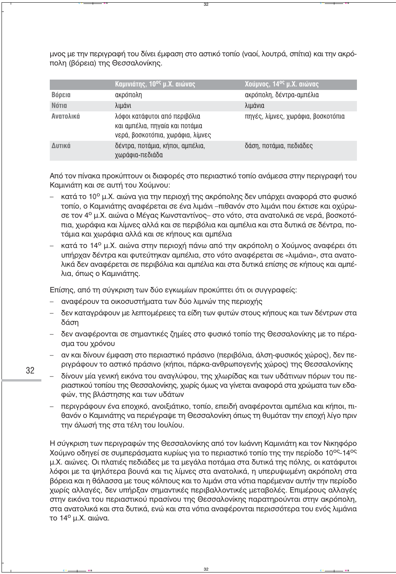μνος με την περινραφή του δίνει έμφαση στο αστικό τοπίο (ναοί, λουτρά, σπίτια) και την ακρόπολη (βόρεια) της Θεσσαλονίκης.

|              | Καμινιάτης, 10 <sup>ος</sup> μ.Χ. αιώνας                                                              | Χούμνος, 14 <sup>ος</sup> μ.Χ. αιώνας |
|--------------|-------------------------------------------------------------------------------------------------------|---------------------------------------|
| Βόρεια       | ακρόπολη                                                                                              | ακρόπολη, δέντρα-αμπέλια              |
| <b>Nótia</b> | λιμάνι                                                                                                | λιμάνια                               |
| Ανατολικά    | λόφοι κατάφυτοι από περιβόλια<br>και αμπέλια, πηγαία και ποτάμια<br>νερά, βοσκοτόπια, χωράφια, λίμνες | πηγές, λίμνες, χωράφια, βοσκοτόπια    |
| Δυτικά       | δέντρα, ποτάμια, κήποι, αμπέλια,<br>χωράφια-πεδιάδα                                                   | δάση, ποτάμια, πεδιάδες               |

Από τον πίνακα προκύπτουν οι διαφορές στο περιαστικό τοπίο ανάμεσα στην περιγραφή του Καμινιάτη και σε αυτή του Χούμνου:

- κατά το 10<sup>ο</sup> μ.Χ. αιώνα για την περιοχή της ακρόπολης δεν υπάρχει αναφορά στο φυσικό  $$ τοπίο, ο Καμινιάτης αναφέρεται σε ένα λιμάνι –πιθανόν στο λιμάνι που έκτισε και οχύρωσε τον 4° μ.Χ. αιώνα ο Μέγας Κωνσταντίνος- στο νότο, στα ανατολικά σε νερά, βοσκοτόπια, χωράφια και λίμνες αλλά και σε περιβόλια και αμπέλια και στα δυτικά σε δέντρα, ποτάμια και χωράφια αλλά και σε κήπους και αμπέλια
- κατά το 14<sup>ο</sup> μ.Χ. αιώνα στην περιοχή πάνω από την ακρόπολη ο Χούμνος αναφέρει ότι υπήρχαν δέντρα και φυτεύτηκαν αμπέλια, στο νότο αναφέρεται σε «λιμάνια», στα ανατολικά δεν αναφέρεται σε περιβόλια και αμπέλια και στα δυτικά επίσης σε κήπους και αμπέλια, όπως ο Καμινιάτης.

Επίσης, από τη σύγκριση των δύο εγκωμίων προκύπτει ότι οι συγγραφείς:

- αναφέρουν τα οικοσυστήματα των δύο λιμνών της περιοχής
- δεν καταγράφουν με λεπτομέρειες τα είδη των φυτών στους κήπους και των δέντρων στα δάση
- δεν αναφέρονται σε σημαντικές ζημίες στο φυσικό τοπίο της Θεσσαλονίκης με το πέρασμα του χρόνου
- αν και δίνουν έμφαση στο περιαστικό πράσινο (περιβόλια, άλση-φυσικός χώρος), δεν περιγράφουν το αστικό πράσινο (κήποι, πάρκα-ανθρωπογενής χώρος) της Θεσσαλονίκης
- $\equiv$ δίνουν μία γενική εικόνα του αναγλύφου, της χλωρίδας και των υδάτινων πόρων του περιαστικού τοπίου της Θεσσαλονίκης, χωρίς όμως να γίνεται αναφορά στα χρώματα των εδαφών, της βλάστησης και των υδάτων
	- περιγράφουν ένα εποχικό, ανοιξιάτικο, τοπίο, επειδή αναφέρονται αμπέλια και κήποι, πιθανόν ο Καμινιάτης να περιέγραψε τη Θεσσαλονίκη όπως τη θυμόταν την εποχή λίγο πριν την άλωσή της στα τέλη του Ιουλίου.

Η σύγκριση των περιγραφών της Θεσσαλονίκης από τον Ιωάννη Καμινιάτη και τον Νικηφόρο Χούμνο οδηγεί σε συμπεράσματα κυρίως για το περιαστικό τοπίο της την περίοδο 10°S-14°S μ.Χ. αιώνες. Οι πλατιές πεδιάδες με τα μεγάλα ποτάμια στα δυτικά της πόλης, οι κατάφυτοι λόφοι με τα ψηλότερα βουνά και τις λίμνες στα ανατολικά, η υπερυψωμένη ακρόπολη στα βόρεια και η θάλασσα με τους κόλπους και το λιμάνι στα νότια παρέμεναν αυτήν την περίοδο χωρίς αλλαγές, δεν υπήρξαν σημαντικές περιβαλλοντικές μεταβολές. Επιμέρους αλλαγές στην εικόνα του περιαστικού πρασίνου της Θεσσαλονίκης παρατηρούνται στην ακρόπολη, στα ανατολικά και στα δυτικά, ενώ και στα νότια αναφέρονται περισσότερα του ενός λιμάνια το 14<sup>ο</sup> μ.Χ. αιώνα.